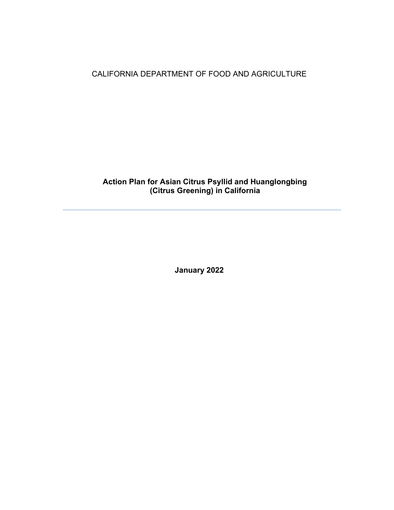CALIFORNIA DEPARTMENT OF FOOD AND AGRICULTURE

# **Action Plan for Asian Citrus Psyllid and Huanglongbing (Citrus Greening) in California**

 **January 2022**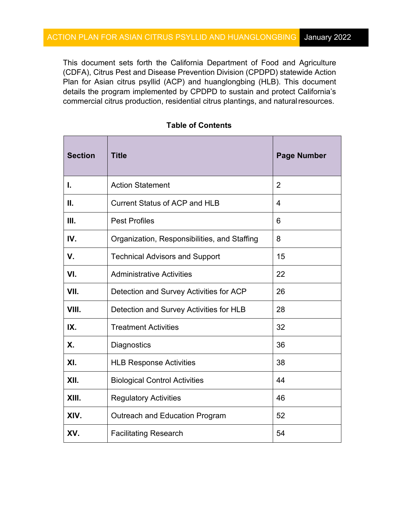This document sets forth the California Department of Food and Agriculture (CDFA), Citrus Pest and Disease Prevention Division (CPDPD) statewide Action commercial citrus production, residential citrus plantings, and naturalresources. Plan for Asian citrus psyllid (ACP) and huanglongbing (HLB). This document details the program implemented by CPDPD to sustain and protect California's

| <b>Section</b> | <b>Title</b>                                 | <b>Page Number</b> |
|----------------|----------------------------------------------|--------------------|
| I.             | <b>Action Statement</b>                      | $\overline{2}$     |
| П.             | <b>Current Status of ACP and HLB</b>         | $\overline{4}$     |
| Ш.             | <b>Pest Profiles</b>                         | 6                  |
| IV.            | Organization, Responsibilities, and Staffing | 8                  |
| V.             | <b>Technical Advisors and Support</b>        | 15                 |
| VI.            | <b>Administrative Activities</b>             | 22                 |
| VII.           | Detection and Survey Activities for ACP      | 26                 |
| VIII.          | Detection and Survey Activities for HLB      | 28                 |
| IX.            | <b>Treatment Activities</b>                  | 32                 |
| Х.             | Diagnostics                                  | 36                 |
| XI.            | <b>HLB Response Activities</b>               | 38                 |
| XII.           | <b>Biological Control Activities</b>         | 44                 |
| XIII.          | <b>Regulatory Activities</b>                 | 46                 |
| XIV.           | Outreach and Education Program               | 52                 |
| XV.            | <b>Facilitating Research</b>                 | 54                 |

# **Table of Contents**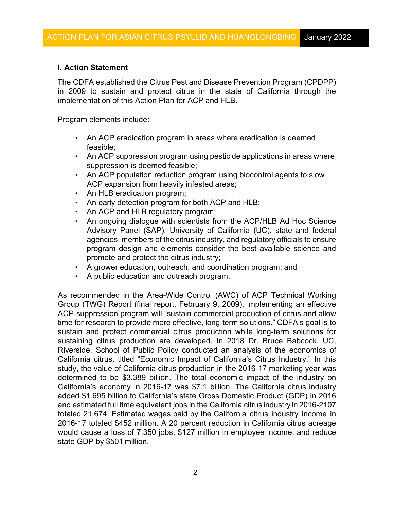# **I. Action Statement**

 The CDFA established the Citrus Pest and Disease Prevention Program (CPDPP) implementation of this Action Plan for ACP and HLB. in 2009 to sustain and protect citrus in the state of California through the

Program elements include:

- An ACP eradication program in areas where eradication is deemed feasible;
- • An ACP suppression program using pesticide applications in areas where suppression is deemed feasible;
- An ACP population reduction program using biocontrol agents to slow ACP expansion from heavily infested areas;
- An HLB eradication program;
- An early detection program for both ACP and HLB;
- An ACP and HLB regulatory program;
- program design and elements consider the best available science and promote and protect the citrus industry; • An ongoing dialogue with scientists from the ACP/HLB Ad Hoc Science Advisory Panel (SAP), University of California (UC), state and federal agencies, members of the citrus industry, and regulatory officials to ensure
- A grower education, outreach, and coordination program; and
- A public education and outreach program.

 Group (TWG) Report (final report, February 9, 2009), implementing an effective time for research to provide more effective, long-term solutions." CDFA's goal is to Riverside, School of Public Policy conducted an analysis of the economics of California's economy in 2016-17 was \$7.1 billion. The California citrus industry added \$1.695 billion to California's state Gross Domestic Product (GDP) in 2016 and estimated full time equivalent jobs in the California citrus industry in 2016-2107 totaled 21,674. Estimated wages paid by the California citrus industry income in 2016-17 totaled \$452 million. A 20 percent reduction in California citrus acreage state GDP by \$501 million. As recommended in the Area-Wide Control (AWC) of ACP Technical Working ACP-suppression program will "sustain commercial production of citrus and allow sustain and protect commercial citrus production while long-term solutions for sustaining citrus production are developed. In 2018 Dr. Bruce Babcock, UC, California citrus, titled "Economic Impact of California's Citrus Industry." In this study, the value of California citrus production in the 2016-17 marketing year was determined to be \$3.389 billion. The total economic impact of the industry on would cause a loss of 7,350 jobs, \$127 million in employee income, and reduce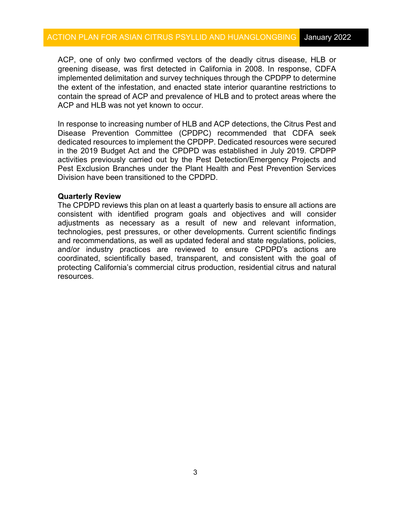ACP, one of only two confirmed vectors of the deadly citrus disease, HLB or implemented delimitation and survey techniques through the CPDPP to determine the extent of the infestation, and enacted state interior quarantine restrictions to ACP and HLB was not yet known to occur. greening disease, was first detected in California in 2008. In response, CDFA contain the spread of ACP and prevalence of HLB and to protect areas where the

 In response to increasing number of HLB and ACP detections, the Citrus Pest and dedicated resources to implement the CPDPP. Dedicated resources were secured Division have been transitioned to the CPDPD. Disease Prevention Committee (CPDPC) recommended that CDFA seek in the 2019 Budget Act and the CPDPD was established in July 2019. CPDPP activities previously carried out by the Pest Detection/Emergency Projects and Pest Exclusion Branches under the Plant Health and Pest Prevention Services

### **Quarterly Review**

 The CPDPD reviews this plan on at least a quarterly basis to ensure all actions are consistent with identified program goals and objectives and will consider and recommendations, as well as updated federal and state regulations, policies, adjustments as necessary as a result of new and relevant information, technologies, pest pressures, or other developments. Current scientific findings and/or industry practices are reviewed to ensure CPDPD's actions are coordinated, scientifically based, transparent, and consistent with the goal of protecting California's commercial citrus production, residential citrus and natural resources.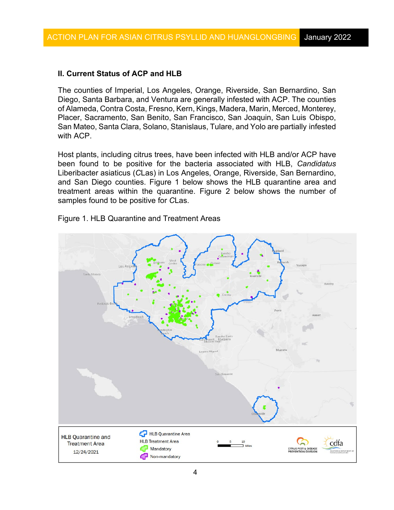# **II. Current Status of ACP and HLB**

 of Alameda, Contra Costa, Fresno, Kern, Kings, Madera, Marin, Merced, Monterey, Placer, Sacramento, San Benito, San Francisco, San Joaquin, San Luis Obispo, San Mateo, Santa Clara, Solano, Stanislaus, Tulare, and Yolo are partially infested with ACP. The counties of Imperial, Los Angeles, Orange, Riverside, San Bernardino, San Diego, Santa Barbara, and Ventura are generally infested with ACP. The counties

 Liberibacter asiaticus (*C*Las) in Los Angeles, Orange, Riverside, San Bernardino, and San Diego counties. Figure 1 below shows the HLB quarantine area and treatment areas within the quarantine. Figure 2 below shows the number of Host plants, including citrus trees, have been infected with HLB and/or ACP have been found to be positive for the bacteria associated with HLB, *Candidatus*  samples found to be positive for *C*Las.



Figure 1. HLB Quarantine and Treatment Areas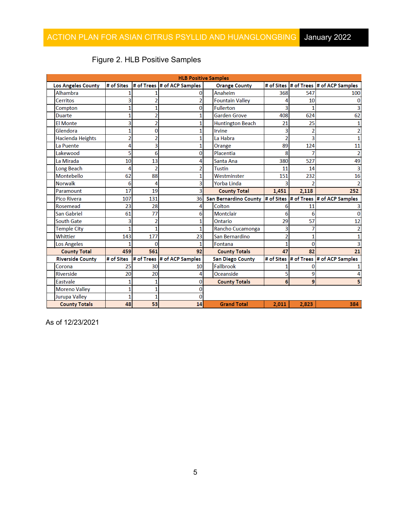| <b>HLB Positive Samples</b> |            |     |                                          |  |                                                              |       |       |                                          |
|-----------------------------|------------|-----|------------------------------------------|--|--------------------------------------------------------------|-------|-------|------------------------------------------|
| Los Angeles County          |            |     | # of Sites  # of Trees  # of ACP Samples |  | <b>Orange County</b>                                         |       |       | # of Sites  # of Trees  # of ACP Samples |
| Alhambra                    |            |     |                                          |  | Anaheim                                                      | 368   | 547   | 100                                      |
| <b>Cerritos</b>             |            |     | 2                                        |  | <b>Fountain Valley</b>                                       |       | 10    |                                          |
| Compton                     |            |     | 0                                        |  | <b>Fullerton</b>                                             |       |       |                                          |
| <b>Duarte</b>               |            | 2   | 1                                        |  | <b>Garden Grove</b>                                          | 408   | 624   | 62                                       |
| <b>El Monte</b>             |            |     |                                          |  | <b>Huntington Beach</b>                                      | 21    | 25    |                                          |
| Glendora                    |            | 0   | 1                                        |  | Irvine                                                       | 3     | 2     |                                          |
| Hacienda Heights            |            |     | 1                                        |  | La Habra                                                     |       | 3     |                                          |
| La Puente                   |            | 3   | 1                                        |  | Orange                                                       | 89    | 124   | 11                                       |
| Lakewood                    | 5          | 6   | 0                                        |  | Placentia                                                    | 8     |       | 2                                        |
| La Mirada                   | 10         | 13  | 4                                        |  | Santa Ana                                                    | 380   | 527   | 49                                       |
| Long Beach                  | 4          | Ž   | $\overline{2}$                           |  | <b>Tustin</b>                                                | 11    | 14    |                                          |
| Montebello                  | 62         | 88  | 1                                        |  | Westminster                                                  | 151   | 232   | 16                                       |
| <b>Norwalk</b>              | 6          | 4   | 3                                        |  | Yorba Linda                                                  |       |       |                                          |
| Paramount                   | 17         | 19  | 3                                        |  | <b>County Total</b>                                          | 1,451 | 2,118 | 252                                      |
| <b>Pico Rivera</b>          | 107        | 131 | 36                                       |  | San Bernardino County # of Sites # of Trees # of ACP Samples |       |       |                                          |
| Rosemead                    | 23         | 28  | 4                                        |  | Colton                                                       |       | 11    |                                          |
| San Gabriel                 | 61         | 77  | 6                                        |  | <b>Montclair</b>                                             | 6     | 6     |                                          |
| <b>South Gate</b>           |            |     | 1                                        |  | Ontario                                                      | 29    | 57    | 12                                       |
| <b>Temple City</b>          |            |     | 1                                        |  | Rancho Cucamonga                                             |       |       |                                          |
| Whittier                    | 143        | 177 | 23                                       |  | San Bernardino                                               |       |       |                                          |
| Los Angeles                 |            | 0   |                                          |  | Fontana                                                      |       | o     |                                          |
| <b>County Total</b>         | 459        | 561 | 92                                       |  | <b>County Totals</b>                                         | 47    | 82    | 21                                       |
| <b>Riverside County</b>     | # of Sites |     | # of Trees # of ACP Samples              |  | <b>San Diego County</b>                                      |       |       | # of Sites  # of Trees  # of ACP Samples |
| Corona                      | 25         | 30  | 10                                       |  | Fallbrook                                                    |       |       |                                          |
| Riverside                   | 20         | 20  | 4                                        |  | Oceanside                                                    | 5     | 9     |                                          |
| Eastvale                    |            |     | 0                                        |  | <b>County Totals</b>                                         | 6     | 9     |                                          |
| <b>Moreno Valley</b>        |            |     | 0                                        |  |                                                              |       |       |                                          |
|                             |            |     | 0                                        |  |                                                              |       |       |                                          |
| <b>Jurupa Valley</b>        |            |     |                                          |  |                                                              |       |       |                                          |

# Figure 2. HLB Positive Samples

As of 12/23/2021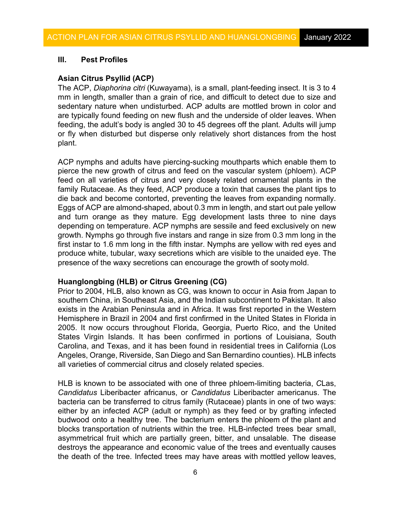#### $III.$ **Pest Profiles**

#### **Asian Citrus Psyllid (ACP)**

 The ACP, *Diaphorina citri* (Kuwayama), is a small, plant-feeding insect. It is 3 to 4 sedentary nature when undisturbed. ACP adults are mottled brown in color and are typically found feeding on new flush and the underside of older leaves. When or fly when disturbed but disperse only relatively short distances from the host mm in length, smaller than a grain of rice, and difficult to detect due to size and feeding, the adult's body is angled 30 to 45 degrees off the plant. Adults will jump plant.

 family Rutaceae. As they feed, ACP produce a toxin that causes the plant tips to depending on temperature. ACP nymphs are sessile and feed exclusively on new first instar to 1.6 mm long in the fifth instar. Nymphs are yellow with red eyes and presence of the waxy secretions can encourage the growth of sooty mold. ACP nymphs and adults have piercing-sucking mouthparts which enable them to pierce the new growth of citrus and feed on the vascular system (phloem). ACP feed on all varieties of citrus and very closely related ornamental plants in the die back and become contorted, preventing the leaves from expanding normally. Eggs of ACP are almond-shaped, about 0.3 mm in length, and start out pale yellow and turn orange as they mature. Egg development lasts three to nine days growth. Nymphs go through five instars and range in size from 0.3 mm long in the produce white, tubular, waxy secretions which are visible to the unaided eye. The

#### **Huanglongbing (HLB) or Citrus Greening (CG)**

 southern China, in Southeast Asia, and the Indian subcontinent to Pakistan. It also all varieties of commercial citrus and closely related species. Prior to 2004, HLB, also known as CG, was known to occur in Asia from Japan to exists in the Arabian Peninsula and in Africa. It was first reported in the Western Hemisphere in Brazil in 2004 and first confirmed in the United States in Florida in 2005. It now occurs throughout Florida, Georgia, Puerto Rico, and the United States Virgin Islands. It has been confirmed in portions of Louisiana, South Carolina, and Texas, and it has been found in residential trees in California (Los Angeles, Orange, Riverside, San Diego and San Bernardino counties). HLB infects

 budwood onto a healthy tree. The bacterium enters the phloem of the plant and blocks transportation of nutrients within the tree. HLB-infected trees bear small, asymmetrical fruit which are partially green, bitter, and unsalable. The disease destroys the appearance and economic value of the trees and eventually causes the death of the tree. Infected trees may have areas with mottled yellow leaves, HLB is known to be associated with one of three phloem-limiting bacteria, *C*Las, *Candidatus* Liberibacter africanus, or *Candidatus* Liberibacter americanus. The bacteria can be transferred to citrus family (Rutaceae) plants in one of two ways: either by an infected ACP (adult or nymph) as they feed or by grafting infected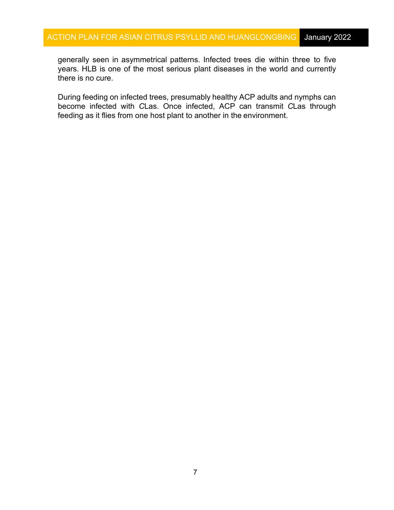generally seen in asymmetrical patterns. Infected trees die within three to five there is no cure. years. HLB is one of the most serious plant diseases in the world and currently

 During feeding on infected trees, presumably healthy ACP adults and nymphs can become infected with *C*Las. Once infected, ACP can transmit *C*Las through feeding as it flies from one host plant to another in the environment.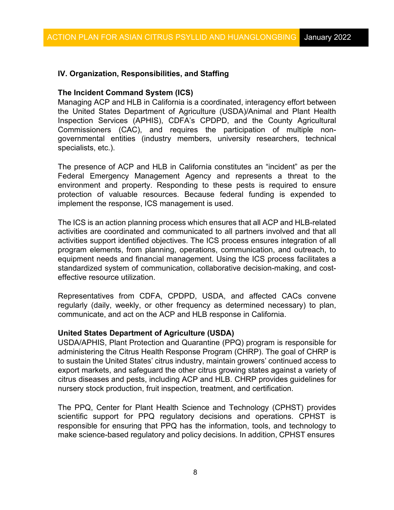# **IV. Organization, Responsibilities, and Staffing**

### **The Incident Command System (ICS)**

 Managing ACP and HLB in California is a coordinated, interagency effort between the United States Department of Agriculture (USDA)/Animal and Plant Health Inspection Services (APHIS), CDFA's CPDPD, and the County Agricultural Commissioners (CAC), and requires the participation of multiple nongovernmental entities (industry members, university researchers, technical specialists, etc.).

 The presence of ACP and HLB in California constitutes an "incident" as per the Federal Emergency Management Agency and represents a threat to the environment and property. Responding to these pests is required to ensure protection of valuable resources. Because federal funding is expended to implement the response, ICS management is used.

 The ICS is an action planning process which ensures that all ACP and HLB-related equipment needs and financial management. Using the ICS process facilitates a effective resource utilization. activities are coordinated and communicated to all partners involved and that all activities support identified objectives. The ICS process ensures integration of all program elements, from planning, operations, communication, and outreach, to standardized system of communication, collaborative decision-making, and cost-

Representatives from CDFA, CPDPD, USDA, and affected CACs convene regularly (daily, weekly, or other frequency as determined necessary) to plan, communicate, and act on the ACP and HLB response in California.

### **United States Department of Agriculture (USDA)**

USDA/APHIS, Plant Protection and Quarantine (PPQ) program is responsible for administering the Citrus Health Response Program (CHRP). The goal of CHRP is to sustain the United States' citrus industry, maintain growers' continued access to export markets, and safeguard the other citrus growing states against a variety of citrus diseases and pests, including ACP and HLB. CHRP provides guidelines for nursery stock production, fruit inspection, treatment, and certification.

 The PPQ, Center for Plant Health Science and Technology (CPHST) provides responsible for ensuring that PPQ has the information, tools, and technology to make science-based regulatory and policy decisions. In addition, CPHST ensures scientific support for PPQ regulatory decisions and operations. CPHST is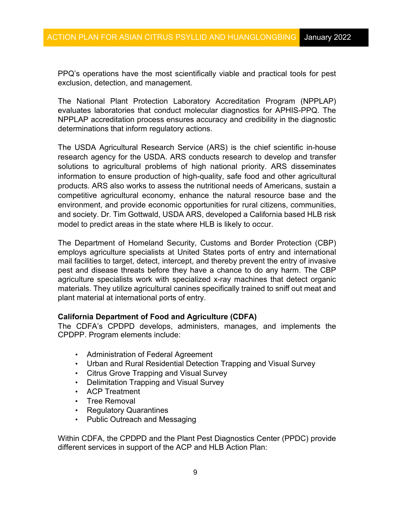PPQ's operations have the most scientifically viable and practical tools for pest exclusion, detection, and management.

The National Plant Protection Laboratory Accreditation Program (NPPLAP) evaluates laboratories that conduct molecular diagnostics for APHIS-PPQ. The NPPLAP accreditation process ensures accuracy and credibility in the diagnostic determinations that inform regulatory actions.

 and society. Dr. Tim Gottwald, USDA ARS, developed a California based HLB risk The USDA Agricultural Research Service (ARS) is the chief scientific in-house research agency for the USDA. ARS conducts research to develop and transfer solutions to agricultural problems of high national priority. ARS disseminates information to ensure production of high-quality, safe food and other agricultural products. ARS also works to assess the nutritional needs of Americans, sustain a competitive agricultural economy, enhance the natural resource base and the environment, and provide economic opportunities for rural citizens, communities, model to predict areas in the state where HLB is likely to occur.

 employs agriculture specialists at United States ports of entry and international mail facilities to target, detect, intercept, and thereby prevent the entry of invasive pest and disease threats before they have a chance to do any harm. The CBP materials. They utilize agricultural canines specifically trained to sniff out meat and plant material at international ports of entry. The Department of Homeland Security, Customs and Border Protection (CBP) agriculture specialists work with specialized x-ray machines that detect organic

# **California Department of Food and Agriculture (CDFA)**

The CDFA's CPDPD develops, administers, manages, and implements the CPDPP. Program elements include:

- Administration of Federal Agreement
- Urban and Rural Residential Detection Trapping and Visual Survey
- Citrus Grove Trapping and Visual Survey
- Delimitation Trapping and Visual Survey
- ACP Treatment
- Tree Removal
- Regulatory Quarantines
- Public Outreach and Messaging

Within CDFA, the CPDPD and the Plant Pest Diagnostics Center (PPDC) provide different services in support of the ACP and HLB Action Plan: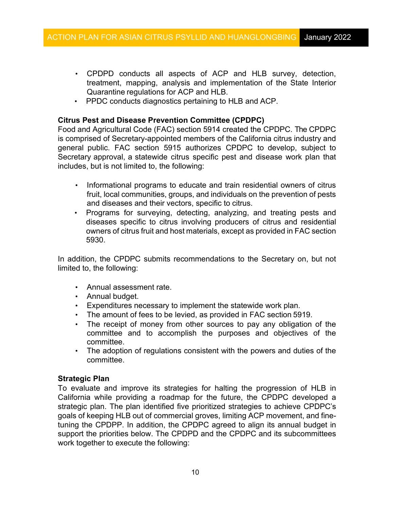- • CPDPD conducts all aspects of ACP and HLB survey, detection, treatment, mapping, analysis and implementation of the State Interior Quarantine regulations for ACP and HLB.
- PPDC conducts diagnostics pertaining to HLB and ACP.

### **Citrus Pest and Disease Prevention Committee (CPDPC)**

 Food and Agricultural Code (FAC) section 5914 created the CPDPC. The CPDPC is comprised of Secretary-appointed members of the California citrus industry and general public. FAC section 5915 authorizes CPDPC to develop, subject to Secretary approval, a statewide citrus specific pest and disease work plan that includes, but is not limited to, the following:

- • Informational programs to educate and train residential owners of citrus fruit, local communities, groups, and individuals on the prevention of pests and diseases and their vectors, specific to citrus.
- owners of citrus fruit and host materials, except as provided in FAC section • Programs for surveying, detecting, analyzing, and treating pests and diseases specific to citrus involving producers of citrus and residential 5930.

 In addition, the CPDPC submits recommendations to the Secretary on, but not limited to, the following:

- Annual assessment rate.
- Annual budget.
- Expenditures necessary to implement the statewide work plan.
- The amount of fees to be levied, as provided in FAC section 5919.
- • The receipt of money from other sources to pay any obligation of the committee and to accomplish the purposes and objectives of the committee.
- The adoption of regulations consistent with the powers and duties of the committee.

### **Strategic Plan**

 To evaluate and improve its strategies for halting the progression of HLB in goals of keeping HLB out of commercial groves, limiting ACP movement, and fine- work together to execute the following: California while providing a roadmap for the future, the CPDPC developed a strategic plan. The plan identified five prioritized strategies to achieve CPDPC's tuning the CPDPP. In addition, the CPDPC agreed to align its annual budget in support the priorities below. The CPDPD and the CPDPC and its subcommittees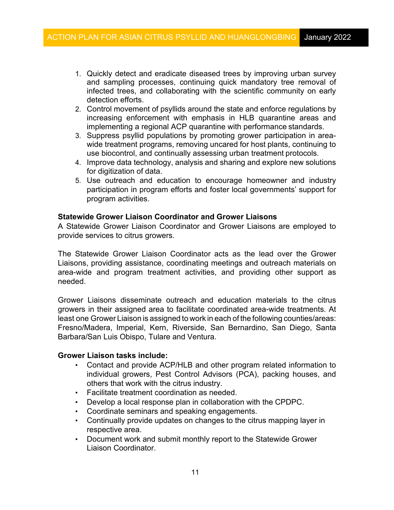- infected trees, and collaborating with the scientific community on early detection efforts. 1. Quickly detect and eradicate diseased trees by improving urban survey and sampling processes, continuing quick mandatory tree removal of
- 2. Control movement of psyllids around the state and enforce regulations by implementing a regional ACP quarantine with performance standards. increasing enforcement with emphasis in HLB quarantine areas and
- wide treatment programs, removing uncared for host plants, continuing to use biocontrol, and continually assessing urban treatment protocols. 3. Suppress psyllid populations by promoting grower participation in area-
- 4. Improve data technology, analysis and sharing and explore new solutions for digitization of data.
- program activities. 5. Use outreach and education to encourage homeowner and industry participation in program efforts and foster local governments' support for

### **Statewide Grower Liaison Coordinator and Grower Liaisons**

A Statewide Grower Liaison Coordinator and Grower Liaisons are employed to provide services to citrus growers.

The Statewide Grower Liaison Coordinator acts as the lead over the Grower Liaisons, providing assistance, coordinating meetings and outreach materials on area-wide and program treatment activities, and providing other support as needed.

 least one Grower Liaison is assigned to work in each of the following counties/areas: Barbara/San Luis Obispo, Tulare and Ventura. Grower Liaisons disseminate outreach and education materials to the citrus growers in their assigned area to facilitate coordinated area-wide treatments. At Fresno/Madera, Imperial, Kern, Riverside, San Bernardino, San Diego, Santa

#### **Grower Liaison tasks include:**

- others that work with the citrus industry. • Contact and provide ACP/HLB and other program related information to individual growers, Pest Control Advisors (PCA), packing houses, and
- Facilitate treatment coordination as needed.
- Develop a local response plan in collaboration with the CPDPC.
- Coordinate seminars and speaking engagements.
- respective area. • Continually provide updates on changes to the citrus mapping layer in
- Document work and submit monthly report to the Statewide Grower Liaison Coordinator.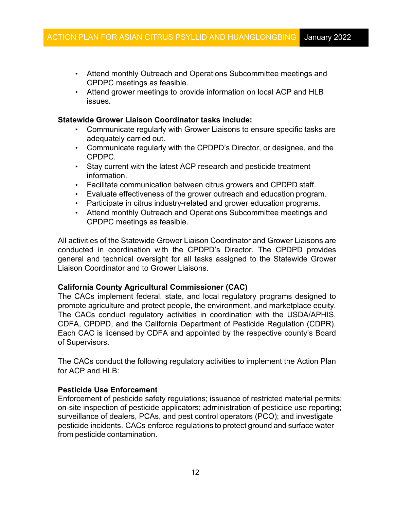- CPDPC meetings as feasible. • Attend monthly Outreach and Operations Subcommittee meetings and
- Attend grower meetings to provide information on local ACP and HLB issues.

### **Statewide Grower Liaison Coordinator tasks include:**

- adequately carried out. • Communicate regularly with Grower Liaisons to ensure specific tasks are
- Communicate regularly with the CPDPD's Director, or designee, and the CPDPC.
- Stay current with the latest ACP research and pesticide treatment information.
- Facilitate communication between citrus growers and CPDPD staff.
- Evaluate effectiveness of the grower outreach and education program.
- Participate in citrus industry-related and grower education programs.
- CPDPC meetings as feasible. • Attend monthly Outreach and Operations Subcommittee meetings and

 All activities of the Statewide Grower Liaison Coordinator and Grower Liaisons are Liaison Coordinator and to Grower Liaisons. conducted in coordination with the CPDPD's Director. The CPDPD provides general and technical oversight for all tasks assigned to the Statewide Grower

### **California County Agricultural Commissioner (CAC)**

 promote agriculture and protect people, the environment, and marketplace equity. Each CAC is licensed by CDFA and appointed by the respective county's Board The CACs implement federal, state, and local regulatory programs designed to The CACs conduct regulatory activities in coordination with the USDA/APHIS, CDFA, CPDPD, and the California Department of Pesticide Regulation (CDPR). of Supervisors.

 The CACs conduct the following regulatory activities to implement the Action Plan for ACP and HI  $B<sup>T</sup>$ 

### **[Pesticide Use Enforcement](http://agcomm.co.tulare.ca.us/default/index.cfm/pesticide-use-enforcement)**

 pesticide incidents. CACs enforce regulations to protect ground and surface water from pesticide contamination. Enforcement of pesticide safety regulations; issuance of restricted material permits; on-site inspection of pesticide applicators; administration of pesticide use reporting; surveillance of dealers, PCAs, and pest control operators (PCO); and investigate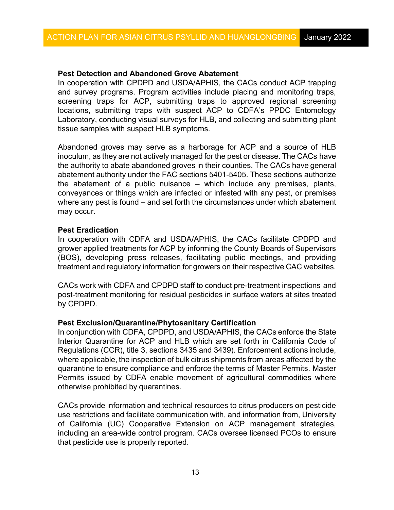# **Pest Detection and Abandoned Grove Abatement**

 screening traps for ACP, submitting traps to approved regional screening In cooperation with CPDPD and USDA/APHIS, the CACs conduct ACP trapping and survey programs. Program activities include placing and monitoring traps, locations, submitting traps with suspect ACP to CDFA's PPDC Entomology Laboratory, conducting visual surveys for HLB, and collecting and submitting plant tissue samples with suspect HLB symptoms.

 Abandoned groves may serve as a harborage for ACP and a source of HLB inoculum, as they are not actively managed for the pest or disease. The CACs have the authority to abate abandoned groves in their counties. The CACs have general abatement authority under the FAC sections 5401-5405. These sections authorize where any pest is found – and set forth the circumstances under which abatement the abatement of a public nuisance – which include any premises, plants, conveyances or things which are infected or infested with any pest, or premises may occur.

# **Pest Eradication**

 In cooperation with CDFA and USDA/APHIS, the CACs facilitate CPDPD and grower applied treatments for ACP by informing the County Boards of Supervisors (BOS), developing press releases, facilitating public meetings, and providing treatment and regulatory information for growers on their respective CAC websites.

 CACs work with CDFA and CPDPD staff to conduct pre-treatment inspections and by CPDPD. post-treatment monitoring for residual pesticides in surface waters at sites treated

### **[Pest Exclusion/Quarantine/P](http://agcomm.co.tulare.ca.us/default/index.cfm/standards-and-quarantine)hytosanitary Certification**

 In conjunction with CDFA, CPDPD, and USDA/APHIS, the CACs enforce the State Regulations (CCR), title 3, sections 3435 and 3439). Enforcement actions include, where applicable, the inspection of bulk citrus shipments from areas affected by the quarantine to ensure compliance and enforce the terms of Master Permits. Master Interior Quarantine for ACP and HLB which are set forth in California Code of Permits issued by CDFA enable movement of agricultural commodities where otherwise prohibited by quarantines.

CACs provide information and technical resources to citrus producers on pesticide use restrictions and facilitate communication with, and information from, University of California (UC) Cooperative Extension on ACP management strategies, including an area-wide control program. CACs oversee licensed PCOs to ensure that pesticide use is properly reported.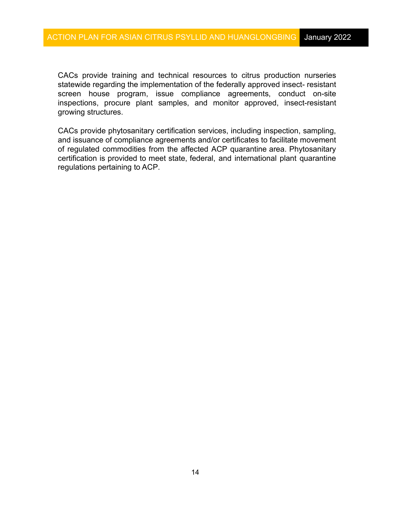inspections, procure plant samples, and monitor approved, insect-resistant CACs provide training and technical resources to citrus production nurseries statewide regarding the implementation of the federally approved insect- resistant screen house program, issue compliance agreements, conduct on-site growing structures.

 of regulated commodities from the affected ACP quarantine area. Phytosanitary certification is provided to meet state, federal, and international plant quarantine CACs provide phytosanitary certification services, including inspection, sampling, and issuance of compliance agreements and/or certificates to facilitate movement regulations pertaining to ACP.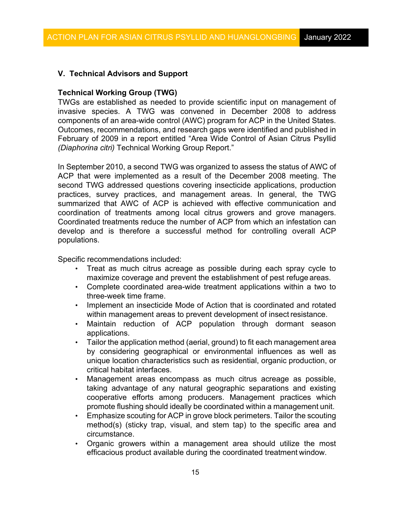# **V. Technical Advisors and Support**

### **Technical Working Group (TWG)**

 TWGs are established as needed to provide scientific input on management of components of an area-wide control (AWC) program for ACP in the United States. Outcomes, recommendations, and research gaps were identified and published in February of 2009 in a report entitled "Area Wide Control of Asian Citrus Psyllid *(Diaphorina citri)* Technical Working Group Report." invasive species. A TWG was convened in December 2008 to address

 ACP that were implemented as a result of the December 2008 meeting. The practices, survey practices, and management areas. In general, the TWG develop and is therefore a successful method for controlling overall ACP In September 2010, a second TWG was organized to assess the status of AWC of second TWG addressed questions covering insecticide applications, production summarized that AWC of ACP is achieved with effective communication and coordination of treatments among local citrus growers and grove managers. Coordinated treatments reduce the number of ACP from which an infestation can populations.

Specific recommendations included:

- maximize coverage and prevent the establishment of pest refuge areas. • Treat as much citrus acreage as possible during each spray cycle to
- three-week time frame. • Complete coordinated area-wide treatment applications within a two to
- within management areas to prevent development of insect resistance. • Implement an insecticide Mode of Action that is coordinated and rotated
- Maintain reduction of ACP population through dormant season applications.
- • Tailor the application method (aerial, ground) to fit each management area by considering geographical or environmental influences as well as unique location characteristics such as residential, organic production, or critical habitat interfaces.
- promote flushing should ideally be coordinated within a management unit. • Management areas encompass as much citrus acreage as possible, taking advantage of any natural geographic separations and existing cooperative efforts among producers. Management practices which
- • Emphasize scouting for ACP in grove block perimeters. Tailor the scouting method(s) (sticky trap, visual, and stem tap) to the specific area and circumstance.
- efficacious product available during the coordinated treatment window. • Organic growers within a management area should utilize the most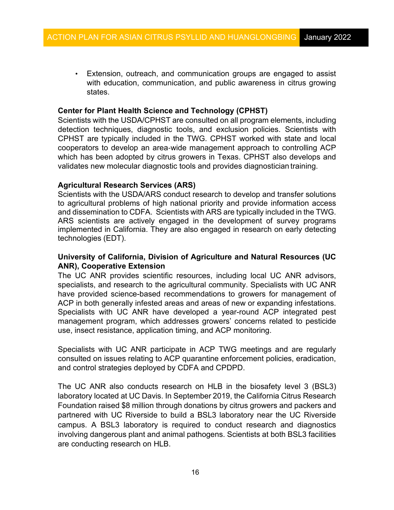with education, communication, and public awareness in citrus growing • Extension, outreach, and communication groups are engaged to assist states.

# **Center for Plant Health Science and Technology (CPHST)**

 Scientists with the USDA/CPHST are consulted on all program elements, including validates new molecular diagnostic tools and provides diagnostician training. detection techniques, diagnostic tools, and exclusion policies. Scientists with CPHST are typically included in the TWG. CPHST worked with state and local cooperators to develop an area-wide management approach to controlling ACP which has been adopted by citrus growers in Texas. CPHST also develops and

# **Agricultural Research Services (ARS)**

 Scientists with the USDA/ARS conduct research to develop and transfer solutions and dissemination to CDFA. Scientists with ARS are typically included in the TWG. technologies (EDT). to agricultural problems of high national priority and provide information access ARS scientists are actively engaged in the development of survey programs implemented in California. They are also engaged in research on early detecting

# **University of California, Division of Agriculture and Natural Resources (UC ANR), Cooperative Extension**

 specialists, and research to the agricultural community. Specialists with UC ANR The UC ANR provides scientific resources, including local UC ANR advisors, have provided science-based recommendations to growers for management of ACP in both generally infested areas and areas of new or expanding infestations. Specialists with UC ANR have developed a year-round ACP integrated pest management program, which addresses growers' concerns related to pesticide use, insect resistance, application timing, and ACP monitoring.

Specialists with UC ANR participate in ACP TWG meetings and are regularly consulted on issues relating to ACP quarantine enforcement policies, eradication, and control strategies deployed by CDFA and CPDPD.

 laboratory located at UC Davis. In September 2019, the California Citrus Research Foundation raised \$8 million through donations by citrus growers and packers and involving dangerous plant and animal pathogens. Scientists at both BSL3 facilities are conducting research on HLB. The UC ANR also conducts research on HLB in the biosafety level 3 (BSL3) partnered with UC Riverside to build a BSL3 laboratory near the UC Riverside campus. A BSL3 laboratory is required to conduct research and diagnostics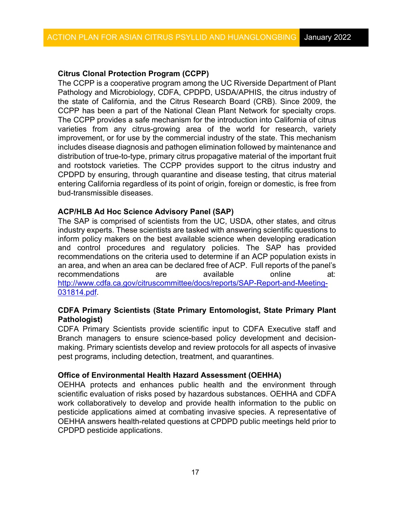# **Citrus Clonal Protection Program (CCPP)**

 The CCPP is a cooperative program among the UC [Riverside](http://www.ucr.edu/) [Department of Plant](http://plantpathmicro.ucr.edu/)  CCPP has been a part of the [National Clean Plant Network f](http://nationalcleanplantnetwork.org/)or specialty crops. improvement, or for use by the commercial industry of the state. This mechanism includes disease diagnosis and pathogen elimination followed by maintenance and distribution of true-to-type, primary citrus propagative material of the important fruit entering California regardless of its point of origin, foreign or domestic, is free from bud-transmissible diseases. [Pathology and Microbiology, C](http://plantpathmicro.ucr.edu/)DFA, CPDPD, USDA/APHIS, the citrus industry of the state of California, and the [Citrus Research Board](http://www.citrusresearch.org/) (CRB). Since 2009, the The CCPP provides a safe mechanism for the introduction into California of citrus varieties from any citrus-growing area of the world for research, variety and rootstock varieties. The CCPP provides support to the citrus industry and CPDPD by ensuring, through quarantine and disease testing, that citrus material

# **ACP/HLB Ad Hoc Science Advisory Panel (SAP)**

 inform policy makers on the best available science when developing eradication an area, and when an area can be declared free of ACP. Full reports of the panel's The SAP is comprised of scientists from the UC, USDA, other states, and citrus industry experts. These scientists are tasked with answering scientific questions to and control procedures and regulatory policies. The SAP has provided recommendations on the criteria used to determine if an ACP population exists in recommendations are available online at: [http://www.cdfa.ca.gov/citruscommittee/docs/reports/SAP-Report-and-Meeting-](http://www.cdfa.ca.gov/citruscommittee/docs/reports/SAP-Report-and-Meeting-031814.pdf)[031814.pdf.](http://www.cdfa.ca.gov/citruscommittee/docs/reports/SAP-Report-and-Meeting-031814.pdf) 

# **CDFA Primary Scientists (State Primary Entomologist, State Primary Plant Pathologist)**

 CDFA Primary Scientists provide scientific input to CDFA Executive staff and making. Primary scientists develop and review protocols for all aspects of invasive Branch managers to ensure science-based policy development and decisionpest programs, including detection, treatment, and quarantines.

### **Office of Environmental Health Hazard Assessment (OEHHA)**

 OEHHA protects and enhances public health and the environment through work collaboratively to develop and provide health information to the public on OEHHA answers health-related questions at CPDPD public meetings held prior to scientific evaluation of risks posed by hazardous substances. OEHHA and CDFA pesticide applications aimed at combating invasive species. A representative of CPDPD pesticide applications.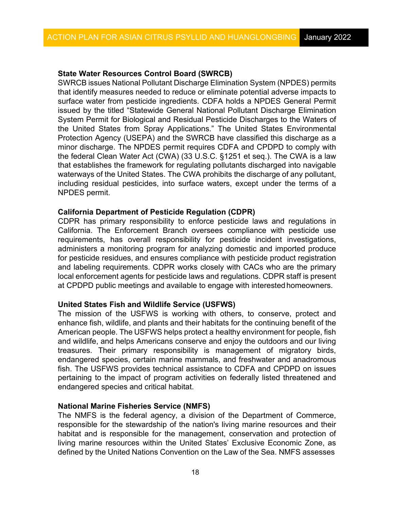### **State Water Resources Control Board (SWRCB)**

 SWRCB issues National Pollutant Discharge Elimination System (NPDES) permits Protection Agency (USEPA) and the SWRCB have classified this discharge as a that establishes the framework for regulating pollutants discharged into navigable waterways of the United States. The CWA prohibits the discharge of any pollutant, including residual pesticides, into surface waters, except under the terms of a that identify measures needed to reduce or eliminate potential adverse impacts to surface water from pesticide ingredients. CDFA holds a NPDES General Permit issued by the titled "Statewide General National Pollutant Discharge Elimination System Permit for Biological and Residual Pesticide Discharges to the Waters of the United States from Spray Applications." The United States Environmental minor discharge. The NPDES permit requires CDFA and CPDPD to comply with the federal Clean Water Act (CWA) (33 U.S.C. §1251 et seq.). The CWA is a law NPDES permit.

# **California Department of Pesticide Regulation (CDPR)**

 local enforcement agents for pesticide laws and regulations. CDPR staff is present CDPR has primary responsibility to enforce pesticide laws and regulations in California. The Enforcement Branch oversees compliance with pesticide use requirements, has overall responsibility for pesticide incident investigations, administers a monitoring program for analyzing domestic and imported produce for pesticide residues, and ensures compliance with pesticide product registration and labeling requirements. CDPR works closely with CACs who are the primary at CPDPD public meetings and available to engage with interestedhomeowners.

### **United States Fish and Wildlife Service (USFWS)**

 enhance fish, wildlife, and plants and their habitats for the continuing benefit of the American people. The USFWS helps protect a healthy environment for people, fish endangered species and critical habitat. The mission of the USFWS is working with others, to conserve, protect and and wildlife, and helps Americans conserve and enjoy the outdoors and our living treasures. Their primary responsibility is management of migratory birds, endangered species, certain marine mammals, and freshwater and anadromous fish. The USFWS provides technical assistance to CDFA and CPDPD on issues pertaining to the impact of program activities on federally listed threatened and

### **National Marine Fisheries Service (NMFS)**

 living marine resources within the United States' Exclusive Economic Zone, as defined by the United Nations Convention on the Law of the Sea. NMFS assesses The NMFS is the federal agency, a division of the Department of Commerce, responsible for the stewardship of the nation's living marine resources and their habitat and is responsible for the management, conservation and protection of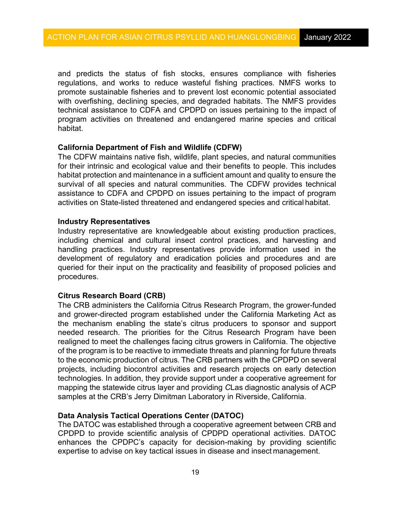program activities on threatened and endangered marine species and critical and predicts the status of fish stocks, ensures compliance with fisheries regulations, and works to reduce wasteful fishing practices. NMFS works to promote sustainable fisheries and to prevent lost economic potential associated with overfishing, declining species, and degraded habitats. The NMFS provides technical assistance to CDFA and CPDPD on issues pertaining to the impact of habitat.

# **California Department of Fish and Wildlife (CDFW)**

 The CDFW maintains native fish, wildlife, plant species, and natural communities habitat protection and maintenance in a sufficient amount and quality to ensure the activities on State-listed threatened and endangered species and critical habitat. for their intrinsic and ecological value and their benefits to people. This includes survival of all species and natural communities. The CDFW provides technical assistance to CDFA and CPDPD on issues pertaining to the impact of program

### **Industry Representatives**

 queried for their input on the practicality and feasibility of proposed policies and Industry representative are knowledgeable about existing production practices, including chemical and cultural insect control practices, and harvesting and handling practices. Industry representatives provide information used in the development of regulatory and eradication policies and procedures and are procedures.

### **Citrus Research Board (CRB)**

 needed research. The priorities for the Citrus Research Program have been of the program is to be reactive to immediate threats and planning for future threats to the economic production of citrus. The CRB partners with the CPDPD on several projects, including biocontrol activities and research projects on early detection mapping the statewide citrus layer and providing *C*Las diagnostic analysis of ACP samples at the CRB's Jerry Dimitman Laboratory in Riverside, California. The CRB administers the California Citrus Research Program, the grower-funded and grower-directed program established under the California Marketing Act as the mechanism enabling the state's citrus producers to sponsor and support realigned to meet the challenges facing citrus growers in California. The objective technologies. In addition, they provide support under a cooperative agreement for

# **Data Analysis Tactical Operations Center (DATOC)**

 The DATOC was established through a cooperative agreement between CRB and expertise to advise on key tactical issues in disease and insect management. CPDPD to provide scientific analysis of CPDPD operational activities. DATOC enhances the CPDPC's capacity for decision-making by providing scientific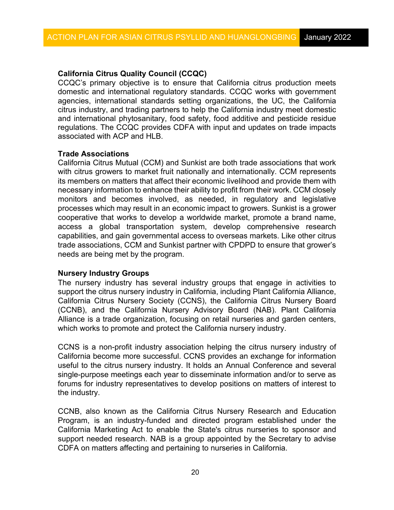# **California Citrus Quality Council (CCQC)**

CCQC's primary objective is to ensure that California citrus production meets domestic and international regulatory standards. CCQC works with government agencies, international standards setting organizations, the UC, the California citrus industry, and trading partners to help the California industry meet domestic and international phytosanitary, food safety, food additive and pesticide residue regulations. The CCQC provides CDFA with input and updates on trade impacts associated with ACP and HLB.

# **Trade Associations**

 its members on matters that affect their economic livelihood and provide them with necessary information to enhance their ability to profit from their work. CCM closely processes which may result in an economic impact to growers. Sunkist is a grower trade associations, CCM and Sunkist partner with CPDPD to ensure that grower's needs are being met by the program. California Citrus Mutual (CCM) and Sunkist are both trade associations that work with citrus growers to market fruit nationally and internationally. CCM represents monitors and becomes involved, as needed, in regulatory and legislative cooperative that works to develop a worldwide market, promote a brand name, access a global transportation system, develop comprehensive research capabilities, and gain governmental access to overseas markets. Like other citrus

# **Nursery Industry Groups**

 support the citrus nursery industry in California, including Plant California Alliance, which works to promote and protect the California nursery industry. The nursery industry has several industry groups that engage in activities to California Citrus Nursery Society (CCNS), the California Citrus Nursery Board (CCNB), and the California Nursery Advisory Board (NAB). Plant California Alliance is a trade organization, focusing on retail nurseries and garden centers,

CCNS is a non-profit industry association helping the citrus nursery industry of California become more successful. CCNS provides an exchange for information useful to the citrus nursery industry. It holds an Annual Conference and several single-purpose meetings each year to disseminate information and/or to serve as forums for industry representatives to develop positions on matters of interest to the industry.

CCNB, also known as the California Citrus Nursery Research and Education Program, is an industry-funded and directed program established under the California Marketing Act to enable the State's citrus nurseries to sponsor and support needed research. NAB is a group appointed by the Secretary to advise CDFA on matters affecting and pertaining to nurseries in California.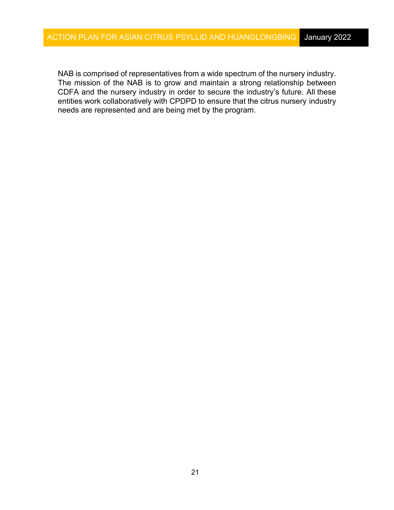CDFA and the nursery industry in order to secure the industry's future. All these entities work collaboratively with CPDPD to ensure that the citrus nursery industry NAB is comprised of representatives from a wide spectrum of the nursery industry. The mission of the NAB is to grow and maintain a strong relationship between needs are represented and are being met by the program.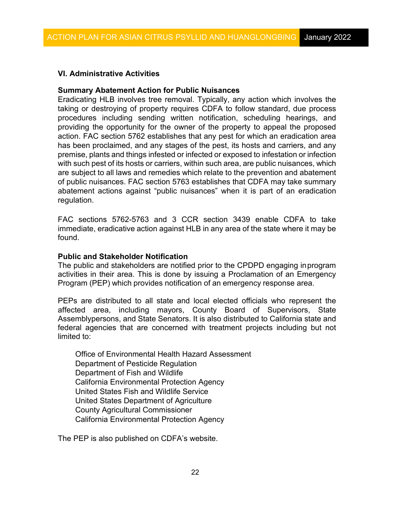# **VI. Administrative Activities**

#### **Summary Abatement Action for Public Nuisances**

 premise, plants and things infested or infected or exposed to infestation or infection with such pest of its hosts or carriers, within such area, are public nuisances, which are subject to all laws and remedies which relate to the prevention and abatement of public nuisances. FAC section 5763 establishes that CDFA may take summary abatement actions against "public nuisances" when it is part of an eradication Eradicating HLB involves tree removal. Typically, any action which involves the taking or destroying of property requires CDFA to follow standard, due process procedures including sending written notification, scheduling hearings, and providing the opportunity for the owner of the property to appeal the proposed action. FAC section 5762 establishes that any pest for which an eradication area has been proclaimed, and any stages of the pest, its hosts and carriers, and any regulation.

 immediate, eradicative action against HLB in any area of the state where it may be FAC sections 5762-5763 and 3 CCR section 3439 enable CDFA to take found.

#### **Public and Stakeholder Notification**

 activities in their area. This is done by issuing a Proclamation of an Emergency Program (PEP) which provides notification of an emergency response area. The public and stakeholders are notified prior to the CPDPD engaging inprogram

 Assemblypersons, and State Senators. It is also distributed to California state and PEPs are distributed to all state and local elected officials who represent the affected area, including mayors, County Board of Supervisors, State federal agencies that are concerned with treatment projects including but not limited to:

Office of Environmental Health Hazard Assessment Department of Pesticide Regulation Department of Fish and Wildlife California Environmental Protection Agency United States Fish and Wildlife Service United States Department of Agriculture County Agricultural Commissioner California Environmental Protection Agency

The PEP is also published on CDFA's website.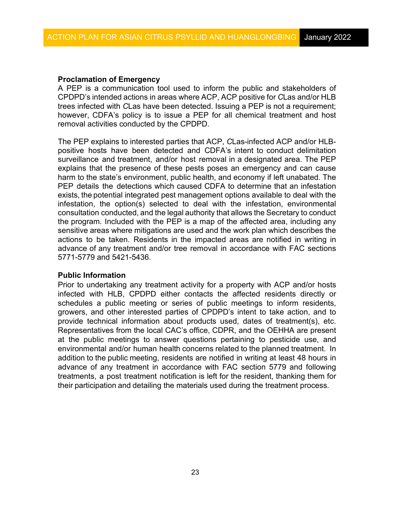### **Proclamation of Emergency**

 A PEP is a communication tool used to inform the public and stakeholders of CPDPD's intended actions in areas where ACP, ACP positive for *C*Las and/or HLB trees infected with *C*Las have been detected. Issuing a PEP is not a requirement; however, CDFA's policy is to issue a PEP for all chemical treatment and host removal activities conducted by the CPDPD.

 positive hosts have been detected and CDFA's intent to conduct delimitation surveillance and treatment, and/or host removal in a designated area. The PEP explains that the presence of these pests poses an emergency and can cause harm to the state's environment, public health, and economy if left unabated. The PEP details the detections which caused CDFA to determine that an infestation exists, the potential integrated pest management options available to deal with the consultation conducted, and the legal authority that allows the Secretary to conduct the program. Included with the PEP is a map of the affected area, including any actions to be taken. Residents in the impacted areas are notified in writing in advance of any treatment and/or tree removal in accordance with FAC sections The PEP explains to interested parties that ACP, *C*Las-infected ACP and/or HLBinfestation, the option(s) selected to deal with the infestation, environmental sensitive areas where mitigations are used and the work plan which describes the 5771-5779 and 5421-5436.

### **Public Information**

 infected with HLB, CPDPD either contacts the affected residents directly or growers, and other interested parties of CPDPD's intent to take action, and to Representatives from the local CAC's office, CDPR, and the OEHHA are present at the public meetings to answer questions pertaining to pesticide use, and environmental and/or human health concerns related to the planned treatment. In addition to the public meeting, residents are notified in writing at least 48 hours in advance of any treatment in accordance with FAC section 5779 and following treatments, a post treatment notification is left for the resident, thanking them for their participation and detailing the materials used during the treatment process. Prior to undertaking any treatment activity for a property with ACP and/or hosts schedules a public meeting or series of public meetings to inform residents, provide technical information about products used, dates of treatment(s), etc.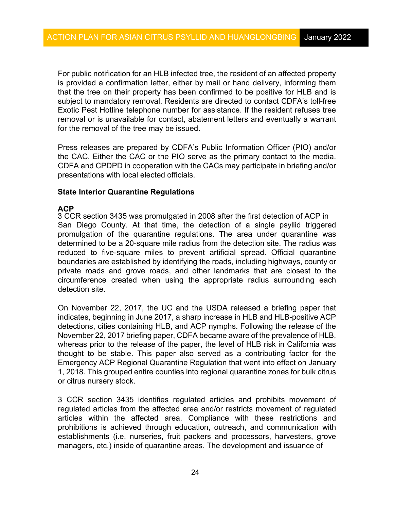For public notification for an HLB infected tree, the resident of an affected property is provided a confirmation letter, either by mail or hand delivery, informing them that the tree on their property has been confirmed to be positive for HLB and is Exotic Pest Hotline telephone number for assistance. If the resident refuses tree for the removal of the tree may be issued. subject to mandatory removal. Residents are directed to contact CDFA's toll-free removal or is unavailable for contact, abatement letters and eventually a warrant

 Press releases are prepared by CDFA's Public Information Officer (PIO) and/or CDFA and CPDPD in cooperation with the CACs may participate in briefing and/or presentations with local elected officials. the CAC. Either the CAC or the PIO serve as the primary contact to the media.

### **State Interior Quarantine Regulations**

# **ACP**

 San Diego County. At that time, the detection of a single psyllid triggered boundaries are established by identifying the roads, including highways, county or 3 CCR section 3435 was promulgated in 2008 after the first detection of ACP in promulgation of the quarantine regulations. The area under quarantine was determined to be a 20-square mile radius from the detection site. The radius was reduced to five-square miles to prevent artificial spread. Official quarantine private roads and grove roads, and other landmarks that are closest to the circumference created when using the appropriate radius surrounding each detection site.

 indicates, beginning in June 2017, a sharp increase in HLB and HLB-positive ACP thought to be stable. This paper also served as a contributing factor for the Emergency ACP Regional Quarantine Regulation that went into effect on January 1, 2018. This grouped entire counties into regional quarantine zones for bulk citrus or citrus nursery stock. On November 22, 2017, the UC and the USDA released a briefing paper that detections, cities containing HLB, and ACP nymphs. Following the release of the November 22, 2017 briefing paper, CDFA became aware of the prevalence of HLB, whereas prior to the release of the paper, the level of HLB risk in California was

3 CCR section 3435 identifies regulated articles and prohibits movement of regulated articles from the affected area and/or restricts movement of regulated articles within the affected area. Compliance with these restrictions and prohibitions is achieved through education, outreach, and communication with establishments (i.e. nurseries, fruit packers and processors, harvesters, grove managers, etc.) inside of quarantine areas. The development and issuance of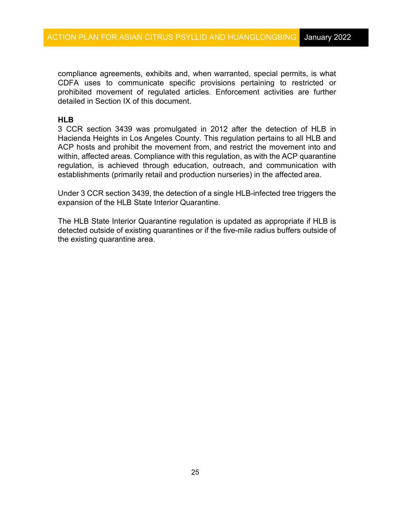compliance agreements, exhibits and, when warranted, special permits, is what prohibited movement of regulated articles. Enforcement activities are further CDFA uses to communicate specific provisions pertaining to restricted or detailed in Section IX of this document.

# **HLB**

 within, affected areas. Compliance with this regulation, as with the ACP quarantine regulation, is achieved through education, outreach, and communication with establishments (primarily retail and production nurseries) in the affected area. 3 CCR section 3439 was promulgated in 2012 after the detection of HLB in Hacienda Heights in Los Angeles County. This regulation pertains to all HLB and ACP hosts and prohibit the movement from, and restrict the movement into and

 Under 3 CCR section 3439, the detection of a single HLB-infected tree triggers the expansion of the HLB State Interior Quarantine.

 detected outside of existing quarantines or if the five-mile radius buffers outside of the existing quarantine area. The HLB State Interior Quarantine regulation is updated as appropriate if HLB is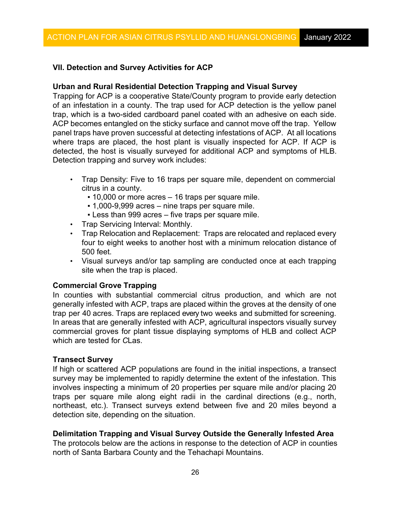# **VII. Detection and Survey Activities for ACP**

#### **Urban and Rural Residential Detection Trapping and Visual Survey**

 Trapping for ACP is a cooperative State/County program to provide early detection ACP becomes entangled on the sticky surface and cannot move off the trap. Yellow panel traps have proven successful at detecting infestations of ACP. At all locations where traps are placed, the host plant is visually inspected for ACP. If ACP is detected, the host is visually surveyed for additional ACP and symptoms of HLB. of an infestation in a county. The trap used for ACP detection is the yellow panel trap, which is a two-sided cardboard panel coated with an adhesive on each side. Detection trapping and survey work includes:

- Trap Density: Five to 16 traps per square mile, dependent on commercial citrus in a county.
	- **.** 10,000 or more acres 16 traps per square mile.
	- 1,000-9,999 acres nine traps per square mile.
	- **Example 1 Less than 999 acres five traps per square mile.**
- Trap Servicing Interval: Monthly.
- • Trap Relocation and Replacement: Traps are relocated and replaced every four to eight weeks to another host with a minimum relocation distance of 500 feet.
- site when the trap is placed. • Visual surveys and/or tap sampling are conducted once at each trapping

#### **Commercial Grove Trapping**

 trap per 40 acres. Traps are replaced every two weeks and submitted for screening. In areas that are generally infested with ACP, agricultural inspectors visually survey which are tested for *C*Las. In counties with substantial commercial citrus production, and which are not generally infested with ACP, traps are placed within the groves at the density of one commercial groves for plant tissue displaying symptoms of HLB and collect ACP

#### **Transect Survey**

 involves inspecting a minimum of 20 properties per square mile and/or placing 20 If high or scattered ACP populations are found in the initial inspections, a transect survey may be implemented to rapidly determine the extent of the infestation. This traps per square mile along eight radii in the cardinal directions (e.g., north, northeast, etc.). Transect surveys extend between five and 20 miles beyond a detection site, depending on the situation.

### **Delimitation Trapping and Visual Survey Outside the Generally Infested Area**

 The protocols below are the actions in response to the detection of ACP in counties north of Santa Barbara County and the Tehachapi Mountains.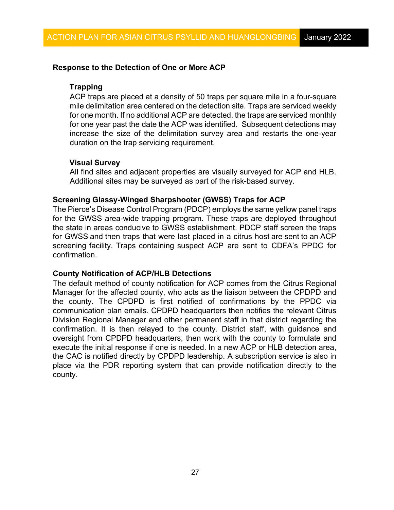### **Response to the Detection of One or More ACP**

# **Trapping**

 mile delimitation area centered on the detection site. Traps are serviced weekly for one month. If no additional ACP are detected, the traps are serviced monthly for one year past the date the ACP was identified. Subsequent detections may ACP traps are placed at a density of 50 traps per square mile in a four-square increase the size of the delimitation survey area and restarts the one-year duration on the trap servicing requirement.

### **Visual Survey**

 All find sites and adjacent properties are visually surveyed for ACP and HLB. Additional sites may be surveyed as part of the risk-based survey.

### **Screening Glassy-Winged Sharpshooter (GWSS) Traps for ACP**

 for GWSS and then traps that were last placed in a citrus host are sent to an ACP screening facility. Traps containing suspect ACP are sent to CDFA's PPDC for The Pierce's Disease Control Program (PDCP) employs the same yellow panel traps for the GWSS area-wide trapping program. These traps are deployed throughout the state in areas conducive to GWSS establishment. PDCP staff screen the traps confirmation.

### **County Notification of ACP/HLB Detections**

 The default method of county notification for ACP comes from the Citrus Regional execute the initial response if one is needed. In a new ACP or HLB detection area, Manager for the affected county, who acts as the liaison between the CPDPD and the county. The CPDPD is first notified of confirmations by the PPDC via communication plan emails. CPDPD headquarters then notifies the relevant Citrus Division Regional Manager and other permanent staff in that district regarding the confirmation. It is then relayed to the county. District staff, with guidance and oversight from CPDPD headquarters, then work with the county to formulate and the CAC is notified directly by CPDPD leadership. A subscription service is also in place via the PDR reporting system that can provide notification directly to the county.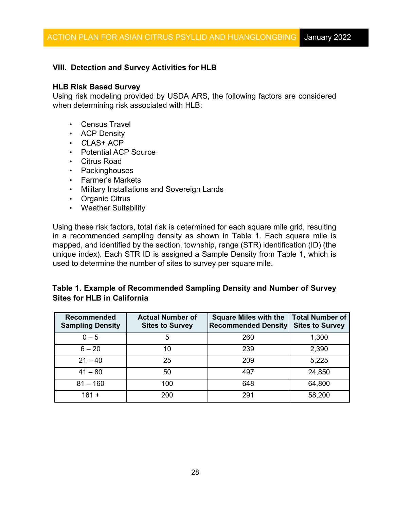# **VIII. Detection and Survey Activities for HLB**

# **HLB Risk Based Survey**

Using risk modeling provided by USDA ARS, the following factors are considered when determining risk associated with HLB:

- Census Travel
- ACP Density
- *C*LAS+ ACP
- Potential ACP Source
- Citrus Road
- Packinghouses
- Farmer's Markets
- Military Installations and Sovereign Lands<br>• Organic Citrus
- Organic Citrus
- Weather Suitability

 mapped, and identified by the section, township, range (STR) identification (ID) (the used to determine the number of sites to survey per square mile. Using these risk factors, total risk is determined for each square mile grid, resulting in a recommended sampling density as shown in Table 1. Each square mile is unique index). Each STR ID is assigned a Sample Density from Table 1, which is

# **Table 1. Example of Recommended Sampling Density and Number of Survey Sites for HLB in California**

| <b>Recommended</b><br><b>Sampling Density</b> | <b>Actual Number of</b><br><b>Sites to Survey</b> | <b>Square Miles with the</b><br><b>Recommended Density</b> | <b>Total Number of</b><br><b>Sites to Survey</b> |
|-----------------------------------------------|---------------------------------------------------|------------------------------------------------------------|--------------------------------------------------|
| $0 - 5$                                       | 5                                                 | 260                                                        | 1,300                                            |
| $6 - 20$                                      | 10                                                | 239                                                        | 2,390                                            |
| $21 - 40$                                     | 25                                                | 209                                                        | 5,225                                            |
| $41 - 80$                                     | 50                                                | 497                                                        | 24,850                                           |
| $81 - 160$                                    | 100                                               | 648                                                        | 64,800                                           |
| $161 +$                                       | 200                                               | 291                                                        | 58,200                                           |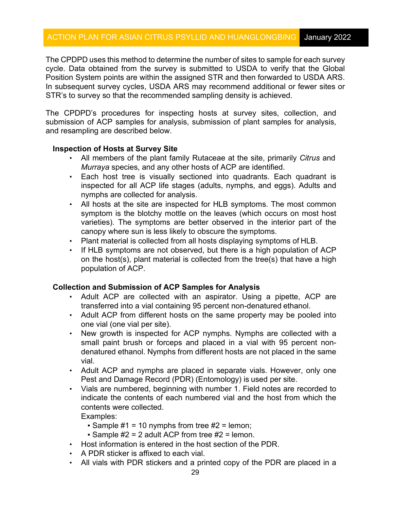The CPDPD uses this method to determine the number of sites to sample for each survey In subsequent survey cycles, USDA ARS may recommend additional or fewer sites or cycle. Data obtained from the survey is submitted to USDA to verify that the Global Position System points are within the assigned STR and then forwarded to USDA ARS. STR's to survey so that the recommended sampling density is achieved.

The CPDPD's procedures for inspecting hosts at survey sites, collection, and submission of ACP samples for analysis, submission of plant samples for analysis, and resampling are described below.

### **Inspection of Hosts at Survey Site**

- • All members of the plant family Rutaceae at the site, primarily *Citrus* and *Murraya* species, and any other hosts of ACP are identified.
- nymphs are collected for analysis. • Each host tree is visually sectioned into quadrants. Each quadrant is inspected for all ACP life stages (adults, nymphs, and eggs). Adults and
- varieties). The symptoms are better observed in the interior part of the canopy where sun is less likely to obscure the symptoms. • All hosts at the site are inspected for HLB symptoms. The most common symptom is the blotchy mottle on the leaves (which occurs on most host
- Plant material is collected from all hosts displaying symptoms of HLB.
- population of ACP. • If HLB symptoms are not observed, but there is a high population of ACP on the host(s), plant material is collected from the tree(s) that have a high

### **Collection and Submission of ACP Samples for Analysis**

- transferred into a vial containing 95 percent non-denatured ethanol. • Adult ACP are collected with an aspirator. Using a pipette, ACP are
- • Adult ACP from different hosts on the same property may be pooled into one vial (one vial per site).
- denatured ethanol. Nymphs from different hosts are not placed in the same • New growth is inspected for ACP nymphs. Nymphs are collected with a small paint brush or forceps and placed in a vial with 95 percent nonvial.
- Pest and Damage Record (PDR) (Entomology) is used per site. • Adult ACP and nymphs are placed in separate vials. However, only one
- contents were collected. • Vials are numbered, beginning with number 1. Field notes are recorded to indicate the contents of each numbered vial and the host from which the

Examples:

- $\bullet$  Sample #1 = 10 nymphs from tree #2 = lemon;
- **Sample #2 = 2 adult ACP from tree #2 = lemon.**
- Host information is entered in the host section of the PDR.
- A PDR sticker is affixed to each vial.
- All vials with PDR stickers and a printed copy of the PDR are placed in a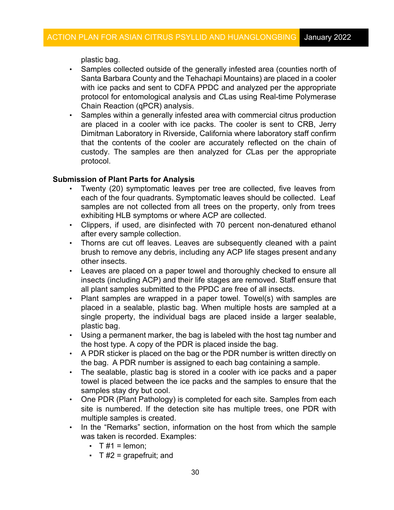plastic bag.

- Chain Reaction (qPCR) analysis. • Samples collected outside of the generally infested area (counties north of Santa Barbara County and the Tehachapi Mountains) are placed in a cooler with ice packs and sent to CDFA PPDC and analyzed per the appropriate protocol for entomological analysis and *C*Las using Real-time Polymerase
- that the contents of the cooler are accurately reflected on the chain of • Samples within a generally infested area with commercial citrus production are placed in a cooler with ice packs. The cooler is sent to CRB, Jerry Dimitman Laboratory in Riverside, California where laboratory staff confirm custody. The samples are then analyzed for *C*Las per the appropriate protocol.

# **Submission of Plant Parts for Analysis**

- each of the four quadrants. Symptomatic leaves should be collected. Leaf • Twenty (20) symptomatic leaves per tree are collected, five leaves from samples are not collected from all trees on the property, only from trees exhibiting HLB symptoms or where ACP are collected.
- after every sample collection. • Clippers, if used, are disinfected with 70 percent non-denatured ethanol
- other insects. • Thorns are cut off leaves. Leaves are subsequently cleaned with a paint brush to remove any debris, including any ACP life stages present andany
- • Leaves are placed on a paper towel and thoroughly checked to ensure all all plant samples submitted to the PPDC are free of all insects. insects (including ACP) and their life stages are removed. Staff ensure that
- single property, the individual bags are placed inside a larger sealable, • Plant samples are wrapped in a paper towel. Towel(s) with samples are placed in a sealable, plastic bag. When multiple hosts are sampled at a plastic bag.
- Using a permanent marker, the bag is labeled with the host tag number and the host type. A copy of the PDR is placed inside the bag.
- • A PDR sticker is placed on the bag or the PDR number is written directly on the bag. A PDR number is assigned to each bag containing a sample.
- towel is placed between the ice packs and the samples to ensure that the samples stay dry but cool. • The sealable, plastic bag is stored in a cooler with ice packs and a paper
- multiple samples is created. • One PDR (Plant Pathology) is completed for each site. Samples from each site is numbered. If the detection site has multiple trees, one PDR with
- was taken is recorded. Examples: • In the "Remarks" section, information on the host from which the sample
	- $\cdot$  T #1 = lemon;
	- $\cdot$  T #2 = grapefruit; and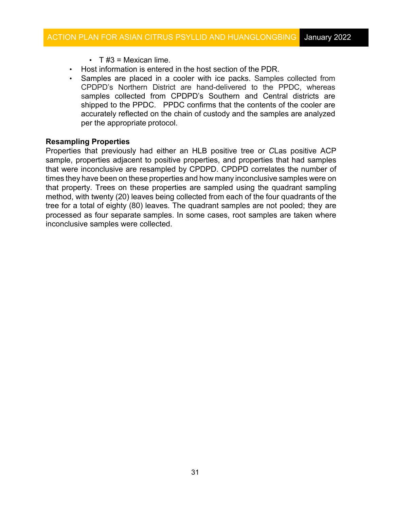- $\cdot$  T #3 = Mexican lime.
- Host information is entered in the host section of the PDR.
- CPDPD's Northern District are hand-delivered to the PPDC, whereas shipped to the PPDC. PPDC confirms that the contents of the cooler are per the appropriate protocol. • Samples are placed in a cooler with ice packs. Samples collected from samples collected from CPDPD's Southern and Central districts are accurately reflected on the chain of custody and the samples are analyzed

#### **Resampling Properties**

 sample, properties adjacent to positive properties, and properties that had samples that were inconclusive are resampled by CPDPD. CPDPD correlates the number of times they have been on these properties and how many inconclusive samples were on method, with twenty (20) leaves being collected from each of the four quadrants of the tree for a total of eighty (80) leaves. The quadrant samples are not pooled; they are processed as four separate samples. In some cases, root samples are taken where Properties that previously had either an HLB positive tree or *C*Las positive ACP that property. Trees on these properties are sampled using the quadrant sampling inconclusive samples were collected.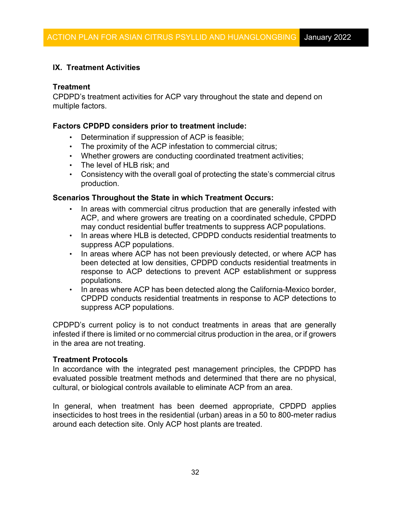# **IX. Treatment Activities**

# **Treatment**

CPDPD's treatment activities for ACP vary throughout the state and depend on multiple factors.

### **Factors CPDPD considers prior to treatment include:**

- Determination if suppression of ACP is feasible;
- The proximity of the ACP infestation to commercial citrus;
- Whether growers are conducting coordinated treatment activities;
- The level of HLB risk; and
- • Consistency with the overall goal of protecting the state's commercial citrus production.

# **Scenarios Throughout the State in which Treatment Occurs:**

- In areas with commercial citrus production that are generally infested with ACP, and where growers are treating on a coordinated schedule, CPDPD may conduct residential buffer treatments to suppress ACP populations.
- • In areas where HLB is detected, CPDPD conducts residential treatments to suppress ACP populations.
- In areas where ACP has not been previously detected, or where ACP has been detected at low densities, CPDPD conducts residential treatments in response to ACP detections to prevent ACP establishment or suppress populations.
- • In areas where ACP has been detected along the California-Mexico border, CPDPD conducts residential treatments in response to ACP detections to suppress ACP populations.

 infested if there is limited or no commercial citrus production in the area, or if growers in the area are not treating. CPDPD's current policy is to not conduct treatments in areas that are generally

### **Treatment Protocols**

 In accordance with the integrated pest management principles, the CPDPD has evaluated possible treatment methods and determined that there are no physical, cultural, or biological controls available to eliminate ACP from an area.

 In general, when treatment has been deemed appropriate, CPDPD applies insecticides to host trees in the residential (urban) areas in a 50 to 800-meter radius around each detection site. Only ACP host plants are treated.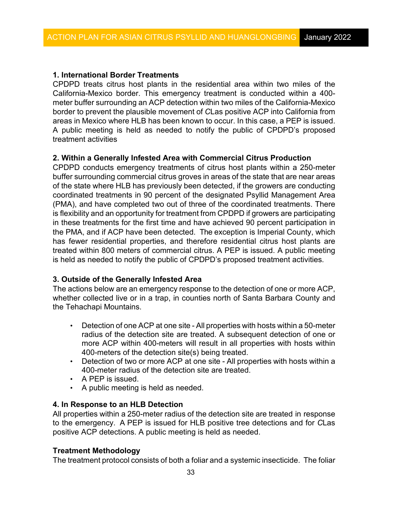# **1. International Border Treatments**

 CPDPD treats citrus host plants in the residential area within two miles of the California-Mexico border. This emergency treatment is conducted within a 400 meter buffer surrounding an ACP detection within two miles of the California-Mexico border to prevent the plausible movement of *C*Las positive ACP into California from areas in Mexico where HLB has been known to occur. In this case, a PEP is issued. A public meeting is held as needed to notify the public of CPDPD's proposed treatment activities

# **2. Within a Generally Infested Area with Commercial Citrus Production**

 CPDPD conducts emergency treatments of citrus host plants within a 250-meter buffer surrounding commercial citrus groves in areas of the state that are near areas the PMA, and if ACP have been detected. The exception is Imperial County, which of the state where HLB has previously been detected, if the growers are conducting coordinated treatments in 90 percent of the designated Psyllid Management Area (PMA), and have completed two out of three of the coordinated treatments. There is flexibility and an opportunity for treatment from CPDPD if growers are participating in these treatments for the first time and have achieved 90 percent participation in has fewer residential properties, and therefore residential citrus host plants are treated within 800 meters of commercial citrus. A PEP is issued. A public meeting is held as needed to notify the public of CPDPD's proposed treatment activities.

# **3. Outside of the Generally Infested Area**

 The actions below are an emergency response to the detection of one or more ACP, whether collected live or in a trap, in counties north of Santa Barbara County and the Tehachapi Mountains.

- • Detection of one ACP at one site All properties with hosts within a 50-meter radius of the detection site are treated. A subsequent detection of one or 400-meters of the detection site(s) being treated. more ACP within 400-meters will result in all properties with hosts within
- • Detection of two or more ACP at one site All properties with hosts within a 400-meter radius of the detection site are treated.
- A PEP is issued.
- A public meeting is held as needed.

# **4. In Response to an HLB Detection**

 All properties within a 250-meter radius of the detection site are treated in response to the emergency. A PEP is issued for HLB positive tree detections and for *C*Las positive ACP detections. A public meeting is held as needed.

### **Treatment Methodology**

The treatment protocol consists of both a foliar and a systemic insecticide. The foliar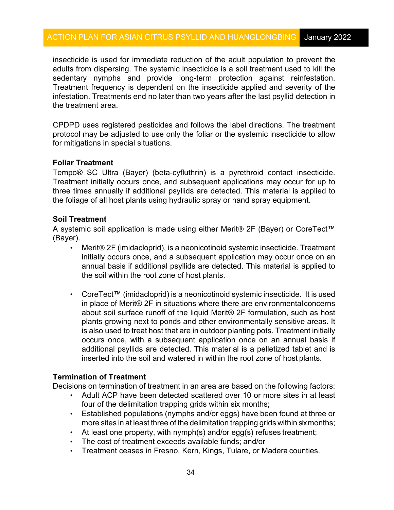infestation. Treatments end no later than two years after the last psyllid detection in insecticide is used for immediate reduction of the adult population to prevent the adults from dispersing. The systemic insecticide is a soil treatment used to kill the sedentary nymphs and provide long-term protection against reinfestation. Treatment frequency is dependent on the insecticide applied and severity of the the treatment area.

 CPDPD uses registered pesticides and follows the label directions. The treatment protocol may be adjusted to use only the foliar or the systemic insecticide to allow for mitigations in special situations.

### **Foliar Treatment**

 Treatment initially occurs once, and subsequent applications may occur for up to Tempo® SC Ultra (Bayer) (beta-cyfluthrin) is a pyrethroid contact insecticide. three times annually if additional psyllids are detected. This material is applied to the foliage of all host plants using hydraulic spray or hand spray equipment.

# **Soil Treatment**

A systemic soil application is made using either Merit® 2F (Bayer) or CoreTect™ (Bayer).

- Merit® 2F (imidacloprid), is a neonicotinoid systemic insecticide. Treatment the soil within the root zone of host plants. initially occurs once, and a subsequent application may occur once on an annual basis if additional psyllids are detected. This material is applied to
- • CoreTect™ (imidacloprid) is a neonicotinoid systemic insecticide. It is used about soil surface runoff of the liquid Merit® 2F formulation, such as host plants growing next to ponds and other environmentally sensitive areas. It is also used to treat host that are in outdoor planting pots. Treatment initially additional psyllids are detected. This material is a pelletized tablet and is inserted into the soil and watered in within the root zone of host plants. in place of Merit® 2F in situations where there are environmentalconcerns occurs once, with a subsequent application once on an annual basis if

### **Termination of Treatment**

Decisions on termination of treatment in an area are based on the following factors:

- four of the delimitation trapping grids within six months; • Adult ACP have been detected scattered over 10 or more sites in at least
- • Established populations (nymphs and/or eggs) have been found at three or more sites in at least three of the delimitation trapping grids within sixmonths;
- At least one property, with nymph(s) and/or egg(s) refuses treatment;
- The cost of treatment exceeds available funds; and/or
- Treatment ceases in Fresno, Kern, Kings, Tulare, or Madera counties.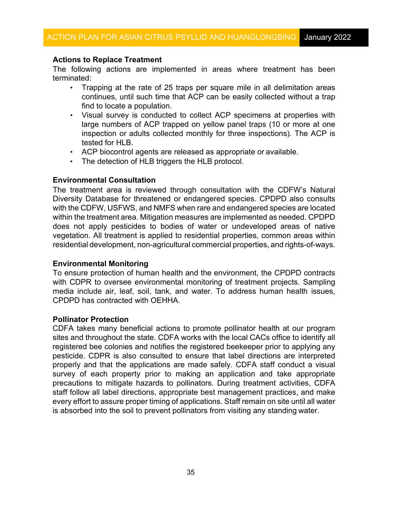# **Actions to Replace Treatment**

 The following actions are implemented in areas where treatment has been terminated:

- continues, until such time that ACP can be easily collected without a trap find to locate a population. • Trapping at the rate of 25 traps per square mile in all delimitation areas
- • Visual survey is conducted to collect ACP specimens at properties with large numbers of ACP trapped on yellow panel traps (10 or more at one tested for HLB. inspection or adults collected monthly for three inspections). The ACP is
- ACP biocontrol agents are released as appropriate or available.
- The detection of HLB triggers the HLB protocol.

# **Environmental Consultation**

 with the CDFW, USFWS, and NMFS when rare and endangered species are located within the treatment area. Mitigation measures are implemented as needed. CPDPD residential development, non-agricultural commercial properties, and rights-of-ways. The treatment area is reviewed through consultation with the CDFW's Natural Diversity Database for threatened or endangered species. CPDPD also consults does not apply pesticides to bodies of water or undeveloped areas of native vegetation. All treatment is applied to residential properties, common areas within

### **Environmental Monitoring**

 media include air, leaf, soil, tank, and water. To address human health issues, To ensure protection of human health and the environment, the CPDPD contracts with CDPR to oversee environmental monitoring of treatment projects. Sampling CPDPD has contracted with OEHHA.

### **Pollinator Protection**

 CDFA takes many beneficial actions to promote pollinator health at our program sites and throughout the state. CDFA works with the local CACs office to identify all properly and that the applications are made safely. CDFA staff conduct a visual survey of each property prior to making an application and take appropriate every effort to assure proper timing of applications. Staff remain on site until all water registered bee colonies and notifies the registered beekeeper prior to applying any pesticide. CDPR is also consulted to ensure that label directions are interpreted precautions to mitigate hazards to pollinators. During treatment activities, CDFA staff follow all label directions, appropriate best management practices, and make is absorbed into the soil to prevent pollinators from visiting any standing water.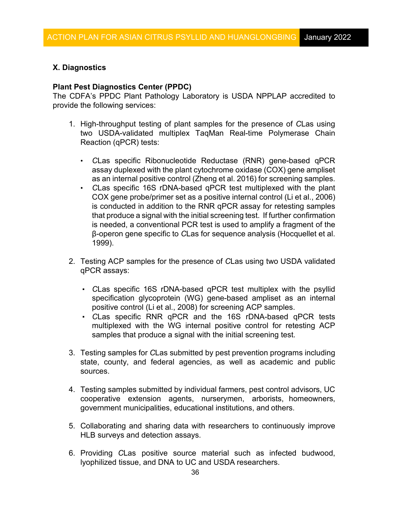# **X. Diagnostics**

# **Plant Pest Diagnostics Center (PPDC)**

The CDFA's PPDC Plant Pathology Laboratory is USDA NPPLAP accredited to provide the following services:

- Reaction (qPCR) tests: 1. High-throughput testing of plant samples for the presence of *C*Las using two USDA-validated multiplex TaqMan Real-time Polymerase Chain
	- as an internal positive control (Zheng et al. 2016) for screening samples. • *C*Las specific Ribonucleotide Reductase (RNR) gene-based qPCR assay duplexed with the plant cytochrome oxidase (COX) gene ampliset
	- • *C*Las specific 16S rDNA-based qPCR test multiplexed with the plant COX gene probe/primer set as a positive internal control (Li et al., 2006) that produce a signal with the initial screening test. If further confirmation is needed, a conventional PCR test is used to amplify a fragment of the is conducted in addition to the RNR qPCR assay for retesting samples β-operon gene specific to *C*Las for sequence analysis (Hocquellet et al. 1999).
- 2. Testing ACP samples for the presence of *C*Las using two USDA validated qPCR assays:
	- *C*Las specific 16S rDNA-based qPCR test multiplex with the psyllid specification glycoprotein (WG) gene-based ampliset as an internal positive control (Li et al., 2008) for screening ACP samples.
	- multiplexed with the WG internal positive control for retesting ACP ▪ *C*Las specific RNR qPCR and the 16S rDNA-based qPCR tests samples that produce a signal with the initial screening test.
- 3. Testing samples for *C*Las submitted by pest prevention programs including state, county, and federal agencies, as well as academic and public sources.
- government municipalities, educational institutions, and others. 4. Testing samples submitted by individual farmers, pest control advisors, UC cooperative extension agents, nurserymen, arborists, homeowners,
- 5. Collaborating and sharing data with researchers to continuously improve HLB surveys and detection assays.
- 6. Providing *C*Las positive source material such as infected budwood, lyophilized tissue, and DNA to UC and USDA researchers.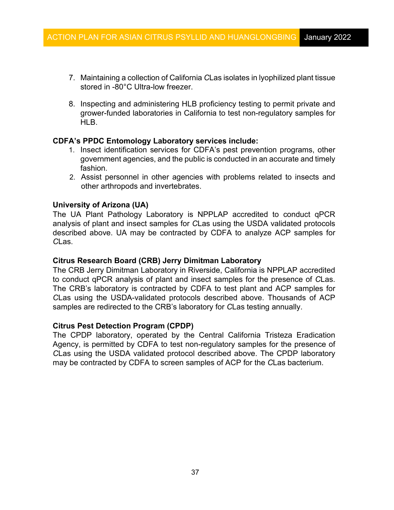- 7. Maintaining a collection of California *C*Las isolates in lyophilized plant tissue stored in -80°C Ultra-low freezer.
- 8. Inspecting and administering HLB proficiency testing to permit private and grower-funded laboratories in California to test non-regulatory samples for HLB.

# **CDFA's PPDC Entomology Laboratory services include:**

- government agencies, and the public is conducted in an accurate and timely 1. Insect identification services for CDFA's pest prevention programs, other fashion.
- 2. Assist personnel in other agencies with problems related to insects and other arthropods and invertebrates.

# **University of Arizona (UA)**

 analysis of plant and insect samples for *C*Las using the USDA validated protocols The UA Plant Pathology Laboratory is NPPLAP accredited to conduct qPCR described above. UA may be contracted by CDFA to analyze ACP samples for *C*Las.

# **Citrus Research Board (CRB) Jerry Dimitman Laboratory**

The CRB Jerry Dimitman Laboratory in Riverside, California is NPPLAP accredited to conduct qPCR analysis of plant and insect samples for the presence of *C*Las. The CRB's laboratory is contracted by CDFA to test plant and ACP samples for *C*Las using the USDA-validated protocols described above. Thousands of ACP samples are redirected to the CRB's laboratory for *C*Las testing annually.

# **Citrus Pest Detection Program (CPDP)**

The CPDP laboratory, operated by the Central California Tristeza Eradication Agency, is permitted by CDFA to test non-regulatory samples for the presence of *C*Las using the USDA validated protocol described above. The CPDP laboratory may be contracted by CDFA to screen samples of ACP for the *C*Las bacterium.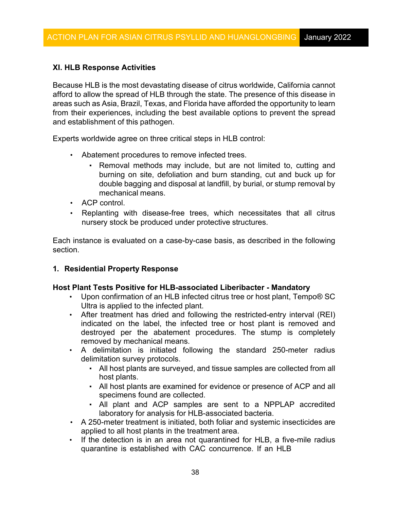# **XI. HLB Response Activities**

 Because HLB is the most devastating disease of citrus worldwide, California cannot afford to allow the spread of HLB through the state. The presence of this disease in areas such as Asia, Brazil, Texas, and Florida have afforded the opportunity to learn and establishment of this pathogen. from their experiences, including the best available options to prevent the spread

Experts worldwide agree on three critical steps in HLB control:

- • Abatement procedures to remove infected trees.
	- double bagging and disposal at landfill, by burial, or stump removal by mechanical means. • Removal methods may include, but are not limited to, cutting and burning on site, defoliation and burn standing, cut and buck up for
- ACP control.
- • Replanting with disease-free trees, which necessitates that all citrus nursery stock be produced under protective structures.

Each instance is evaluated on a case-by-case basis, as described in the following section.

# **1. Residential Property Response**

# **Host Plant Tests Positive for HLB-associated Liberibacter - Mandatory**

- • Upon confirmation of an HLB infected citrus tree or host plant, Tempo® SC Ultra is applied to the infected plant.
- removed by mechanical means. • After treatment has dried and following the restricted-entry interval (REI) indicated on the label, the infected tree or host plant is removed and destroyed per the abatement procedures. The stump is completely
- A delimitation is initiated following the standard 250-meter radius delimitation survey protocols.
	- ▪ All host plants are surveyed, and tissue samples are collected from all host plants.
	- ▪ All host plants are examined for evidence or presence of ACP and all specimens found are collected.
	- laboratory for analysis for HLB-associated bacteria. ▪ All plant and ACP samples are sent to a NPPLAP accredited
- applied to all host plants in the treatment area. • A 250-meter treatment is initiated, both foliar and systemic insecticides are
- quarantine is established with CAC concurrence. If an HLB • If the detection is in an area not quarantined for HLB, a five-mile radius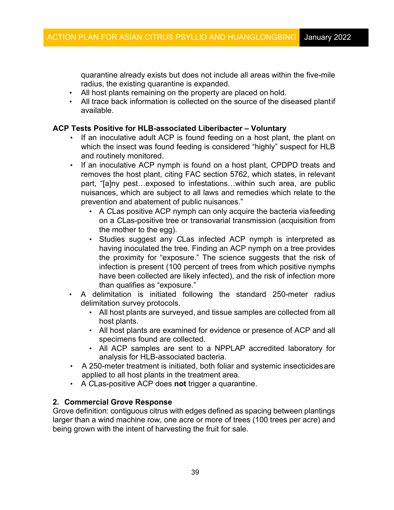quarantine already exists but does not include all areas within the five-mile radius, the existing quarantine is expanded.

- All host plants remaining on the property are placed on hold.
- All trace back information is collected on the source of the diseased plantif available.

# **ACP Tests Positive for HLB-associated Liberibacter – Voluntary**

- • If an inoculative adult ACP is found feeding on a host plant, the plant on which the insect was found feeding is considered "highly" suspect for HLB and routinely monitored.
- part, "[a]ny pest…exposed to infestations…within such area, are public • If an inoculative ACP nymph is found on a host plant, CPDPD treats and removes the host plant, citing FAC section 5762, which states, in relevant nuisances, which are subject to all laws and remedies which relate to the prevention and abatement of public nuisances."
	- the mother to the egg). ▪ A *C*Las positive ACP nymph can only acquire the bacteria viafeeding on a *C*Las-positive tree or transovarial transmission (acquisition from
	- Studies suggest any *C*Las infected ACP nymph is interpreted as having inoculated the tree. Finding an ACP nymph on a tree provides the proximity for "exposure." The science suggests that the risk of infection is present (100 percent of trees from which positive nymphs have been collected are likely infected), and the risk of infection more than qualifies as "exposure."
- A delimitation is initiated following the standard 250-meter radius delimitation survey protocols.
	- ▪ All host plants are surveyed, and tissue samples are collected from all host plants.
	- ▪ All host plants are examined for evidence or presence of ACP and all specimens found are collected.
	- analysis for HLB-associated bacteria. ▪ All ACP samples are sent to a NPPLAP accredited laboratory for
- applied to all host plants in the treatment area. • A 250-meter treatment is initiated, both foliar and systemic insecticidesare
- A *C*Las-positive ACP does **not** trigger a quarantine.

# **2. Commercial Grove Response**

 Grove definition: contiguous citrus with edges defined as spacing between plantings being grown with the intent of harvesting the fruit for sale. larger than a wind machine row, one acre or more of trees (100 trees per acre) and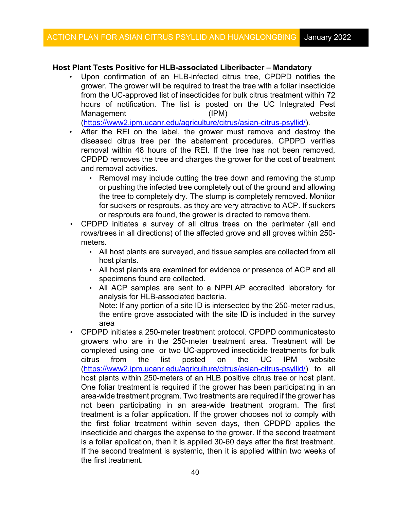# **Host Plant Tests Positive for HLB-associated Liberibacter – Mandatory**

- Upon confirmation of an HLB-infected citrus tree, CPDPD notifies the grower. The grower will be required to treat the tree with a foliar insecticide from the UC-approved list of insecticides for bulk citrus treatment within 72 hours of notification. The list is posted on the UC Integrated Pest Management (IPM) website [\(https://www2.ipm.ucanr.edu/agriculture/citrus/asian-citrus-psyllid/\)](https://www2.ipm.ucanr.edu/agriculture/citrus/asian-citrus-psyllid/).
- • After the REI on the label, the grower must remove and destroy the diseased citrus tree per the abatement procedures. CPDPD verifies removal within 48 hours of the REI. If the tree has not been removed, CPDPD removes the tree and charges the grower for the cost of treatment and removal activities.
	- or pushing the infected tree completely out of the ground and allowing for suckers or resprouts, as they are very attractive to ACP. If suckers or resprouts are found, the grower is directed to remove them. ▪ Removal may include cutting the tree down and removing the stump the tree to completely dry. The stump is completely removed. Monitor
- CPDPD initiates a survey of all citrus trees on the perimeter (all end rows/trees in all directions) of the affected grove and all groves within 250 meters.
	- ▪ All host plants are surveyed, and tissue samples are collected from all host plants.
	- ▪ All host plants are examined for evidence or presence of ACP and all specimens found are collected.
	- analysis for HLB-associated bacteria. Note: If any portion of a site ID is intersected by the 250-meter radius, ▪ All ACP samples are sent to a NPPLAP accredited laboratory for

the entire grove associated with the site ID is included in the survey area

 completed using one or two UC-approved insecticide treatments for bulk host plants within 250-meters of an HLB positive citrus tree or host plant. area-wide treatment program. Two treatments are required if the grower has the first treatment. • CPDPD initiates a 250-meter treatment protocol. CPDPD communicatesto growers who are in the 250-meter treatment area. Treatment will be citrus from the list posted on the UC IPM website [\(https://www2.ipm.ucanr.edu/agriculture/citrus/asian-citrus-psyllid/\)](https://www2.ipm.ucanr.edu/agriculture/citrus/asian-citrus-psyllid/) to all One foliar treatment is required if the grower has been participating in an not been participating in an area-wide treatment program. The first treatment is a foliar application. If the grower chooses not to comply with the first foliar treatment within seven days, then CPDPD applies the insecticide and charges the expense to the grower. If the second treatment is a foliar application, then it is applied 30-60 days after the first treatment. If the second treatment is systemic, then it is applied within two weeks of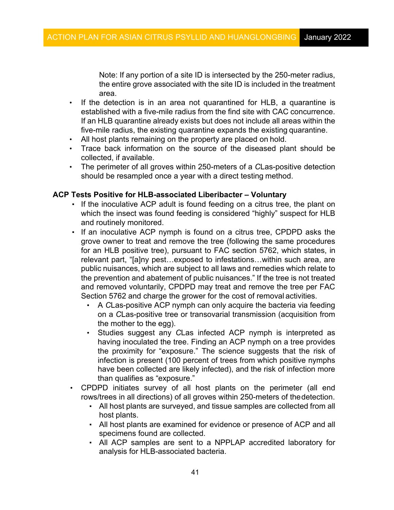Note: If any portion of a site ID is intersected by the 250-meter radius, the entire grove associated with the site ID is included in the treatment area.

- established with a five-mile radius from the find site with CAC concurrence. If an HLB quarantine already exists but does not include all areas within the five-mile radius, the existing quarantine expands the existing quarantine. • If the detection is in an area not quarantined for HLB, a quarantine is
- All host plants remaining on the property are placed on hold.
- collected, if available. • Trace back information on the source of the diseased plant should be
- should be resampled once a year with a direct testing method. • The perimeter of all groves within 250-meters of a *C*Las-positive detection

# **ACP Tests Positive for HLB-associated Liberibacter – Voluntary**

- **.** If the inoculative ACP adult is found feeding on a citrus tree, the plant on which the insect was found feeding is considered "highly" suspect for HLB and routinely monitored.
- public nuisances, which are subject to all laws and remedies which relate to the prevention and abatement of public nuisances." If the tree is not treated and removed voluntarily, CPDPD may treat and remove the tree per FAC Section 5762 and charge the grower for the cost of removal activities. ▪ If an inoculative ACP nymph is found on a citrus tree, CPDPD asks the grove owner to treat and remove the tree (following the same procedures for an HLB positive tree), pursuant to FAC section 5762, which states, in relevant part, "[a]ny pest…exposed to infestations…within such area, are
	- • A *C*Las-positive ACP nymph can only acquire the bacteria via feeding on a *C*Las-positive tree or transovarial transmission (acquisition from the mother to the egg).
	- the proximity for "exposure." The science suggests that the risk of • Studies suggest any *C*Las infected ACP nymph is interpreted as having inoculated the tree. Finding an ACP nymph on a tree provides infection is present (100 percent of trees from which positive nymphs have been collected are likely infected), and the risk of infection more than qualifies as "exposure."
- rows/trees in all directions) of all groves within 250-meters of thedetection. • CPDPD initiates survey of all host plants on the perimeter (all end
	- ▪ All host plants are surveyed, and tissue samples are collected from all host plants.
	- ▪ All host plants are examined for evidence or presence of ACP and all specimens found are collected.
	- analysis for HLB-associated bacteria. ▪ All ACP samples are sent to a NPPLAP accredited laboratory for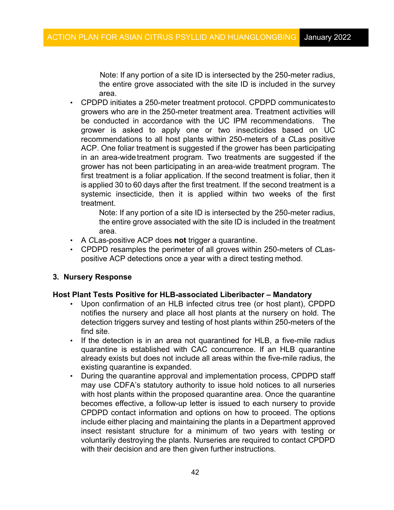Note: If any portion of a site ID is intersected by the 250-meter radius, the entire grove associated with the site ID is included in the survey area.

 be conducted in accordance with the UC IPM recommendations. The first treatment is a foliar application. If the second treatment is foliar, then it is applied 30 to 60 days after the first treatment. If the second treatment is a • CPDPD initiates a 250-meter treatment protocol. CPDPD communicatesto growers who are in the 250-meter treatment area. Treatment activities will grower is asked to apply one or two insecticides based on UC recommendations to all host plants within 250-meters of a *C*Las positive ACP. One foliar treatment is suggested if the grower has been participating in an area-wide treatment program. Two treatments are suggested if the grower has not been participating in an area-wide treatment program. The systemic insecticide, then it is applied within two weeks of the first treatment.

> Note: If any portion of a site ID is intersected by the 250-meter radius, the entire grove associated with the site ID is included in the treatment area.

- A *C*Las-positive ACP does **not** trigger a quarantine.
- positive ACP detections once a year with a direct testing method. • CPDPD resamples the perimeter of all groves within 250-meters of *C*Las-

### **3. Nursery Response**

### **Host Plant Tests Positive for HLB-associated Liberibacter – Mandatory**

- detection triggers survey and testing of host plants within 250-meters of the • Upon confirmation of an HLB infected citrus tree (or host plant), CPDPD notifies the nursery and place all host plants at the nursery on hold. The find site.
- existing quarantine is expanded. If the detection is in an area not quarantined for HLB, a five-mile radius quarantine is established with CAC concurrence. If an HLB quarantine already exists but does not include all areas within the five-mile radius, the
- CPDPD contact information and options on how to proceed. The options include either placing and maintaining the plants in a Department approved • During the quarantine approval and implementation process, CPDPD staff may use CDFA's statutory authority to issue hold notices to all nurseries with host plants within the proposed quarantine area. Once the quarantine becomes effective, a follow-up letter is issued to each nursery to provide insect resistant structure for a minimum of two years with testing or voluntarily destroying the plants. Nurseries are required to contact CPDPD with their decision and are then given further instructions.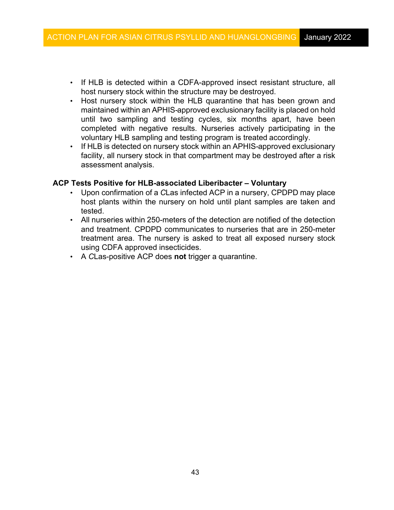- host nursery stock within the structure may be destroyed. • If HLB is detected within a CDFA-approved insect resistant structure, all
- maintained within an APHIS-approved exclusionary facility is placed on hold completed with negative results. Nurseries actively participating in the • Host nursery stock within the HLB quarantine that has been grown and until two sampling and testing cycles, six months apart, have been voluntary HLB sampling and testing program is treated accordingly.
- • If HLB is detected on nursery stock within an APHIS-approved exclusionary assessment analysis. facility, all nursery stock in that compartment may be destroyed after a risk

# **ACP Tests Positive for HLB-associated Liberibacter – Voluntary**

- • Upon confirmation of a *C*Las infected ACP in a nursery, CPDPD may place host plants within the nursery on hold until plant samples are taken and tested.
- • All nurseries within 250-meters of the detection are notified of the detection and treatment. CPDPD communicates to nurseries that are in 250-meter treatment area. The nursery is asked to treat all exposed nursery stock using CDFA approved insecticides.
- A *C*Las-positive ACP does **not** trigger a quarantine.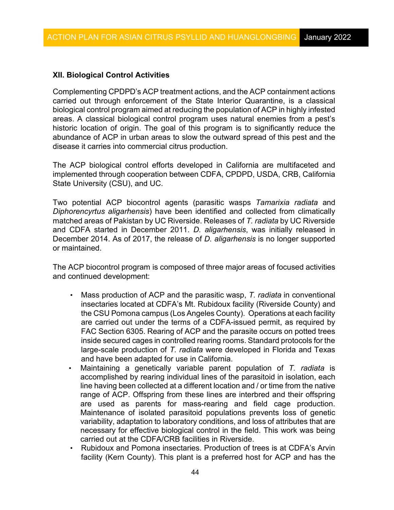# **XII. Biological Control Activities**

 Complementing CPDPD's ACP treatment actions, and the ACP containment actions biological control program aimed at reducing the population of ACP in highly infested historic location of origin. The goal of this program is to significantly reduce the disease it carries into commercial citrus production. carried out through enforcement of the State Interior Quarantine, is a classical areas. A classical biological control program uses natural enemies from a pest's abundance of ACP in urban areas to slow the outward spread of this pest and the

 implemented through cooperation between CDFA, CPDPD, USDA, CRB, California The ACP biological control efforts developed in California are multifaceted and State University (CSU), and UC.

 Two potential ACP biocontrol agents (parasitic wasps *Tamarixia radiata* and matched areas of Pakistan by UC Riverside. Releases of *T. radiata* by UC Riverside and CDFA started in December 2011. *D. aligarhensis*, was initially released in *Diphorencyrtus aligarhensis*) have been identified and collected from climatically December 2014. As of 2017, the release of *D. aligarhensis* is no longer supported or maintained.

 The ACP biocontrol program is composed of three major areas of focused activities and continued development:

- the CSU Pomona campus (Los Angeles County). Operations at each facility are carried out under the terms of a CDFA-issued permit, as required by FAC Section 6305. Rearing of ACP and the parasite occurs on potted trees inside secured cages in controlled rearing rooms. Standard protocols for the large-scale production of *T. radiata* were developed in Florida and Texas and have been adapted for use in California. • Mass production of ACP and the parasitic wasp, *T. radiata* in conventional insectaries located at CDFA's Mt. Rubidoux facility (Riverside County) and
- line having been collected at a different location and / or time from the native • Maintaining a genetically variable parent population of *T. radiata* is accomplished by rearing individual lines of the parasitoid in isolation, each range of ACP. Offspring from these lines are interbred and their offspring are used as parents for mass-rearing and field cage production. Maintenance of isolated parasitoid populations prevents loss of genetic variability, adaptation to laboratory conditions, and loss of attributes that are necessary for effective biological control in the field. This work was being carried out at the CDFA/CRB facilities in Riverside.
- facility (Kern County). This plant is a preferred host for ACP and has the • Rubidoux and Pomona insectaries. Production of trees is at CDFA's Arvin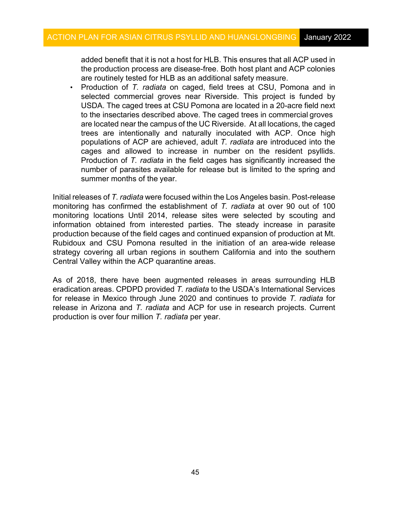added benefit that it is not a host for HLB. This ensures that all ACP used in are routinely tested for HLB as an additional safety measure. the production process are disease-free. Both host plant and ACP colonies

 selected commercial groves near Riverside. This project is funded by USDA. The caged trees at CSU Pomona are located in a 20-acre field next to the insectaries described above. The caged trees in commercial groves are located near the campus of the UC Riverside. At all locations, the caged populations of ACP are achieved, adult *T. radiata* are introduced into the number of parasites available for release but is limited to the spring and summer months of the year. • Production of *T. radiata* on caged, field trees at CSU, Pomona and in trees are intentionally and naturally inoculated with ACP. Once high cages and allowed to increase in number on the resident psyllids. Production of *T. radiata* in the field cages has significantly increased the

 Initial releases of *T. radiata* were focused within the Los Angeles basin. Post-release monitoring has confirmed the establishment of *T. radiata* at over 90 out of 100 production because of the field cages and continued expansion of production at Mt. Central Valley within the ACP quarantine areas. monitoring locations Until 2014, release sites were selected by scouting and information obtained from interested parties. The steady increase in parasite Rubidoux and CSU Pomona resulted in the initiation of an area-wide release strategy covering all urban regions in southern California and into the southern

 eradication areas. CPDPD provided *T. radiata* to the USDA's International Services release in Arizona and *T. radiata* and ACP for use in research projects. Current As of 2018, there have been augmented releases in areas surrounding HLB for release in Mexico through June 2020 and continues to provide *T. radiata* for production is over four million *T. radiata* per year.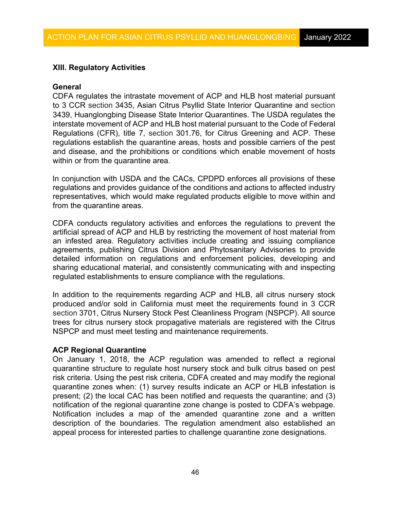# **XIII. Regulatory Activities**

#### **General**

 and disease, and the prohibitions or conditions which enable movement of hosts within or from the quarantine area. CDFA regulates the intrastate movement of ACP and HLB host material pursuant to 3 CCR section 3435, Asian Citrus Psyllid State Interior Quarantine and section 3439, Huanglongbing Disease State Interior Quarantines. The USDA regulates the interstate movement of ACP and HLB host material pursuant to the Code of Federal Regulations (CFR), title 7, section 301.76, for Citrus Greening and ACP. These regulations establish the quarantine areas, hosts and possible carriers of the pest

 regulations and provides guidance of the conditions and actions to affected industry representatives, which would make regulated products eligible to move within and from the quarantine areas. In conjunction with USDA and the CACs, CPDPD enforces all provisions of these

CDFA conducts regulatory activities and enforces the regulations to prevent the artificial spread of ACP and HLB by restricting the movement of host material from an infested area. Regulatory activities include creating and issuing compliance agreements, publishing Citrus Division and Phytosanitary Advisories to provide detailed information on regulations and enforcement policies, developing and sharing educational material, and consistently communicating with and inspecting regulated establishments to ensure compliance with the regulations.

In addition to the requirements regarding ACP and HLB, all citrus nursery stock produced and/or sold in California must meet the requirements found in 3 CCR section 3701, Citrus Nursery Stock Pest Cleanliness Program (NSPCP). All source trees for citrus nursery stock propagative materials are registered with the Citrus NSPCP and must meet testing and maintenance requirements.

### **ACP Regional Quarantine**

 present; (2) the local CAC has been notified and requests the quarantine; and (3) Notification includes a map of the amended quarantine zone and a written On January 1, 2018, the ACP regulation was amended to reflect a regional quarantine structure to regulate host nursery stock and bulk citrus based on pest risk criteria. Using the pest risk criteria, CDFA created and may modify the regional quarantine zones when: (1) survey results indicate an ACP or HLB infestation is notification of the regional quarantine zone change is posted to CDFA's webpage. description of the boundaries. The regulation amendment also established an appeal process for interested parties to challenge quarantine zone designations.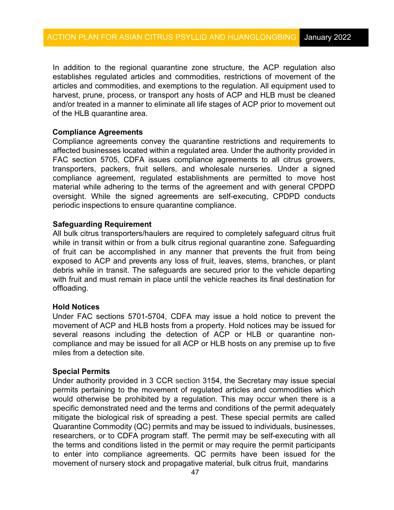establishes regulated articles and commodities, restrictions of movement of the articles and commodities, and exemptions to the regulation. All equipment used to harvest, prune, process, or transport any hosts of ACP and HLB must be cleaned In addition to the regional quarantine zone structure, the ACP regulation also and/or treated in a manner to eliminate all life stages of ACP prior to movement out of the HLB quarantine area.

### **Compliance Agreements**

 affected businesses located within a regulated area. Under the authority provided in transporters, packers, fruit sellers, and wholesale nurseries. Under a signed oversight. While the signed agreements are self-executing, CPDPD conducts periodic inspections to ensure quarantine compliance. Compliance agreements convey the quarantine restrictions and requirements to FAC section 5705, CDFA issues compliance agreements to all citrus growers, compliance agreement, regulated establishments are permitted to move host material while adhering to the terms of the agreement and with general CPDPD

#### **Safeguarding Requirement**

 exposed to ACP and prevents any loss of fruit, leaves, stems, branches, or plant All bulk citrus transporters/haulers are required to completely safeguard citrus fruit while in transit within or from a bulk citrus regional quarantine zone. Safeguarding of fruit can be accomplished in any manner that prevents the fruit from being debris while in transit. The safeguards are secured prior to the vehicle departing with fruit and must remain in place until the vehicle reaches its final destination for offloading.

#### **Hold Notices**

 compliance and may be issued for all ACP or HLB hosts on any premise up to five Under FAC sections 5701-5704, CDFA may issue a hold notice to prevent the movement of ACP and HLB hosts from a property. Hold notices may be issued for several reasons including the detection of ACP or HLB or quarantine nonmiles from a detection site.

#### **Special Permits**

 would otherwise be prohibited by a regulation. This may occur when there is a Quarantine Commodity (QC) permits and may be issued to individuals, businesses, movement of nursery stock and propagative material, bulk citrus fruit, mandarins Under authority provided in 3 CCR section 3154, the Secretary may issue special permits pertaining to the movement of regulated articles and commodities which specific demonstrated need and the terms and conditions of the permit adequately mitigate the biological risk of spreading a pest. These special permits are called researchers, or to CDFA program staff. The permit may be self-executing with all the terms and conditions listed in the permit or may require the permit participants to enter into compliance agreements. QC permits have been issued for the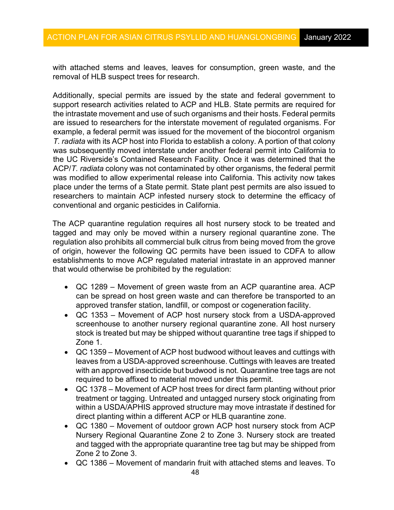with attached stems and leaves, leaves for consumption, green waste, and the removal of HLB suspect trees for research.

 Additionally, special permits are issued by the state and federal government to the intrastate movement and use of such organisms and their hosts. Federal permits example, a federal permit was issued for the movement of the biocontrol organism  *T. radiata* with its ACP host into Florida to establish a colony. A portion of that colony  ACP/*T. radiata* colony was not contaminated by other organisms, the federal permit conventional and organic pesticides in California. support research activities related to ACP and HLB. State permits are required for are issued to researchers for the interstate movement of regulated organisms. For was subsequently moved interstate under another federal permit into California to the UC Riverside's Contained Research Facility. Once it was determined that the was modified to allow experimental release into California. This activity now takes place under the terms of a State permit. State plant pest permits are also issued to researchers to maintain ACP infested nursery stock to determine the efficacy of

 tagged and may only be moved within a nursery regional quarantine zone. The regulation also prohibits all commercial bulk citrus from being moved from the grove that would otherwise be prohibited by the regulation: The ACP quarantine regulation requires all host nursery stock to be treated and of origin, however the following QC permits have been issued to CDFA to allow establishments to move ACP regulated material intrastate in an approved manner

- • QC 1289 Movement of green waste from an ACP quarantine area. ACP can be spread on host green waste and can therefore be transported to an approved transfer station, landfill, or compost or cogeneration facility.
- stock is treated but may be shipped without quarantine tree tags if shipped to • QC 1353 – Movement of ACP host nursery stock from a USDA-approved screenhouse to another nursery regional quarantine zone. All host nursery Zone 1.
- • QC 1359 Movement of ACP host budwood without leaves and cuttings with leaves from a USDA-approved screenhouse. Cuttings with leaves are treated with an approved insecticide but budwood is not. Quarantine tree tags are not required to be affixed to material moved under this permit.
- • QC 1378 Movement of ACP host trees for direct farm planting without prior direct planting within a different ACP or HLB quarantine zone. treatment or tagging. Untreated and untagged nursery stock originating from within a USDA/APHIS approved structure may move intrastate if destined for
- and tagged with the appropriate quarantine tree tag but may be shipped from Zone 2 to Zone 3. • QC 1380 – Movement of outdoor grown ACP host nursery stock from ACP Nursery Regional Quarantine Zone 2 to Zone 3. Nursery stock are treated
- QC 1386 Movement of mandarin fruit with attached stems and leaves. To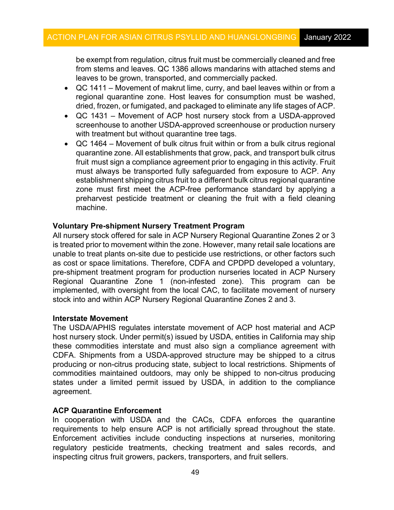be exempt from regulation, citrus fruit must be commercially cleaned and free from stems and leaves. QC 1386 allows mandarins with attached stems and leaves to be grown, transported, and commercially packed.

- • QC 1411 Movement of makrut lime, curry, and bael leaves within or from a regional quarantine zone. Host leaves for consumption must be washed, dried, frozen, or fumigated, and packaged to eliminate any life stages of ACP.
- screenhouse to another USDA-approved screenhouse or production nursery with treatment but without quarantine tree tags. • QC 1431 – Movement of ACP host nursery stock from a USDA-approved
- • QC 1464 Movement of bulk citrus fruit within or from a bulk citrus regional quarantine zone. All establishments that grow, pack, and transport bulk citrus fruit must sign a compliance agreement prior to engaging in this activity. Fruit establishment shipping citrus fruit to a different bulk citrus regional quarantine zone must first meet the ACP-free performance standard by applying a must always be transported fully safeguarded from exposure to ACP. Any preharvest pesticide treatment or cleaning the fruit with a field cleaning machine.

### **Voluntary Pre-shipment Nursery Treatment Program**

 All nursery stock offered for sale in ACP Nursery Regional Quarantine Zones 2 or 3 is treated prior to movement within the zone. However, many retail sale locations are implemented, with oversight from the local CAC, to facilitate movement of nursery stock into and within ACP Nursery Regional Quarantine Zones 2 and 3. unable to treat plants on-site due to pesticide use restrictions, or other factors such as cost or space limitations. Therefore, CDFA and CPDPD developed a voluntary, pre-shipment treatment program for production nurseries located in ACP Nursery Regional Quarantine Zone 1 (non-infested zone). This program can be

### **Interstate Movement**

 The USDA/APHIS regulates interstate movement of ACP host material and ACP commodities maintained outdoors, may only be shipped to non-citrus producing host nursery stock. Under permit(s) issued by USDA, entities in California may ship these commodities interstate and must also sign a compliance agreement with CDFA. Shipments from a USDA-approved structure may be shipped to a citrus producing or non-citrus producing state, subject to local restrictions. Shipments of states under a limited permit issued by USDA, in addition to the compliance agreement.

#### **ACP Quarantine Enforcement**

 Enforcement activities include conducting inspections at nurseries, monitoring In cooperation with USDA and the CACs, CDFA enforces the quarantine requirements to help ensure ACP is not artificially spread throughout the state. regulatory pesticide treatments, checking treatment and sales records, and inspecting citrus fruit growers, packers, transporters, and fruit sellers.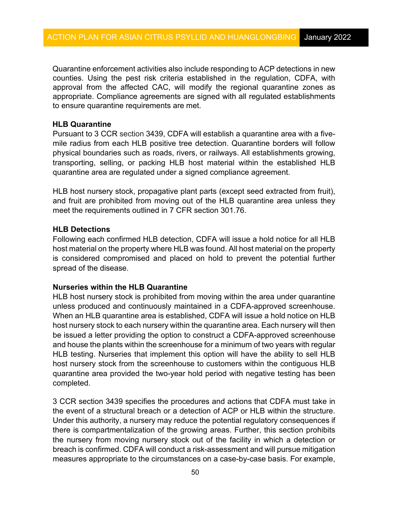Quarantine enforcement activities also include responding to ACP detections in new to ensure quarantine requirements are met. counties. Using the pest risk criteria established in the regulation, CDFA, with approval from the affected CAC, will modify the regional quarantine zones as appropriate. Compliance agreements are signed with all regulated establishments

### **HLB Quarantine**

 mile radius from each HLB positive tree detection. Quarantine borders will follow Pursuant to 3 CCR section 3439, CDFA will establish a quarantine area with a fivephysical boundaries such as roads, rivers, or railways. All establishments growing, transporting, selling, or packing HLB host material within the established HLB quarantine area are regulated under a signed compliance agreement.

HLB host nursery stock, propagative plant parts (except seed extracted from fruit), and fruit are prohibited from moving out of the HLB quarantine area unless they meet the requirements outlined in 7 CFR section 301.76.

### **HLB Detections**

 host material on the property where HLB was found. All host material on the property is considered compromised and placed on hold to prevent the potential further spread of the disease. Following each confirmed HLB detection, CDFA will issue a hold notice for all HLB

### **Nurseries within the HLB Quarantine**

 When an HLB quarantine area is established, CDFA will issue a hold notice on HLB host nursery stock to each nursery within the quarantine area. Each nursery will then HLB host nursery stock is prohibited from moving within the area under quarantine unless produced and continuously maintained in a CDFA-approved screenhouse. be issued a letter providing the option to construct a CDFA-approved screenhouse and house the plants within the screenhouse for a minimum of two years with regular HLB testing. Nurseries that implement this option will have the ability to sell HLB host nursery stock from the screenhouse to customers within the contiguous HLB quarantine area provided the two-year hold period with negative testing has been completed.

 the event of a structural breach or a detection of ACP or HLB within the structure. Under this authority, a nursery may reduce the potential regulatory consequences if 3 CCR section 3439 specifies the procedures and actions that CDFA must take in there is compartmentalization of the growing areas. Further, this section prohibits the nursery from moving nursery stock out of the facility in which a detection or breach is confirmed. CDFA will conduct a risk-assessment and will pursue mitigation measures appropriate to the circumstances on a case-by-case basis. For example,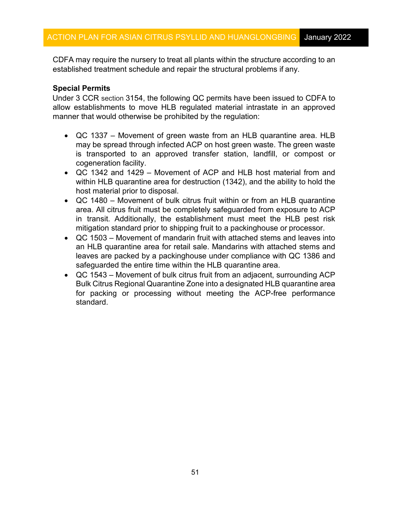CDFA may require the nursery to treat all plants within the structure according to an established treatment schedule and repair the structural problems if any.

# **Special Permits**

 Under 3 CCR section 3154, the following QC permits have been issued to CDFA to allow establishments to move HLB regulated material intrastate in an approved manner that would otherwise be prohibited by the regulation:

- QC 1337 Movement of green waste from an HLB quarantine area. HLB may be spread through infected ACP on host green waste. The green waste is transported to an approved transfer station, landfill, or compost or cogeneration facility.
- host material prior to disposal. • QC 1342 and 1429 – Movement of ACP and HLB host material from and within HLB quarantine area for destruction (1342), and the ability to hold the
- in transit. Additionally, the establishment must meet the HLB pest risk mitigation standard prior to shipping fruit to a packinghouse or processor. • QC 1480 – Movement of bulk citrus fruit within or from an HLB quarantine area. All citrus fruit must be completely safeguarded from exposure to ACP
- an HLB quarantine area for retail sale. Mandarins with attached stems and leaves are packed by a packinghouse under compliance with QC 1386 and safeguarded the entire time within the HLB quarantine area. • QC 1503 – Movement of mandarin fruit with attached stems and leaves into
- • QC 1543 Movement of bulk citrus fruit from an adjacent, surrounding ACP Bulk Citrus Regional Quarantine Zone into a designated HLB quarantine area for packing or processing without meeting the ACP-free performance standard.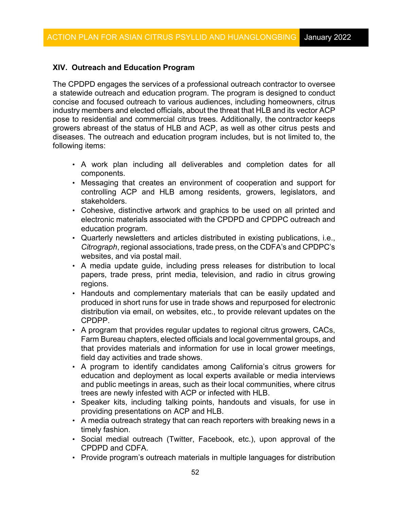# **XIV. Outreach and Education Program**

 The CPDPD engages the services of a professional outreach contractor to oversee a statewide outreach and education program. The program is designed to conduct pose to residential and commercial citrus trees. Additionally, the contractor keeps growers abreast of the status of HLB and ACP, as well as other citrus pests and diseases. The outreach and education program includes, but is not limited to, the concise and focused outreach to various audiences, including homeowners, citrus industry members and elected officials, about the threat that HLB and its vector ACP following items:

- A work plan including all deliverables and completion dates for all components.
- controlling ACP and HLB among residents, growers, legislators, and • Messaging that creates an environment of cooperation and support for stakeholders.
- Cohesive, distinctive artwork and graphics to be used on all printed and electronic materials associated with the CPDPD and CPDPC outreach and education program.
- *Citrograph*, regional associations, trade press, on the CDFA's and CPDPC's websites, and via postal mail. • Quarterly newsletters and articles distributed in existing publications, i.e.,
- A media update guide, including press releases for distribution to local papers, trade press, print media, television, and radio in citrus growing regions.
- produced in short runs for use in trade shows and repurposed for electronic distribution via email, on websites, etc., to provide relevant updates on the • Handouts and complementary materials that can be easily updated and CPDPP.
- • A program that provides regular updates to regional citrus growers, CACs, Farm Bureau chapters, elected officials and local governmental groups, and that provides materials and information for use in local grower meetings, field day activities and trade shows.
- A program to identify candidates among California's citrus growers for education and deployment as local experts available or media interviews and public meetings in areas, such as their local communities, where citrus trees are newly infested with ACP or infected with HLB.
- • Speaker kits, including talking points, handouts and visuals, for use in providing presentations on ACP and HLB.
- • A media outreach strategy that can reach reporters with breaking news in a timely fashion.
- CPDPD and CDFA. • Social medial outreach (Twitter, Facebook, etc.), upon approval of the
- Provide program's outreach materials in multiple languages for distribution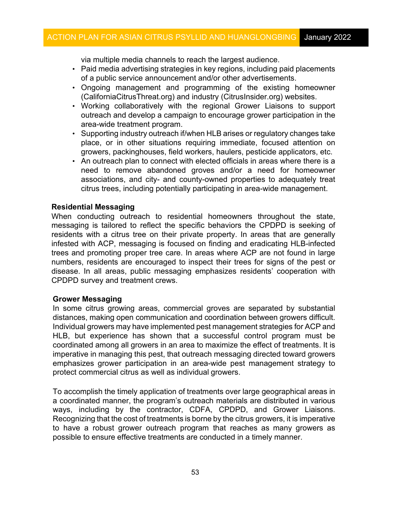via multiple media channels to reach the largest audience.

- Paid media advertising strategies in key regions, including paid placements of a public service announcement and/or other advertisements.
- Ongoing management and programming of the existing homeowner ([CaliforniaCitrusThreat.org](https://CaliforniaCitrusThreat.org)) and industry ([CitrusInsider.org\)](https://CitrusInsider.org) websites.
- • Working collaboratively with the regional Grower Liaisons to support outreach and develop a campaign to encourage grower participation in the area-wide treatment program.
- Supporting industry outreach if/when HLB arises or regulatory changes take place, or in other situations requiring immediate, focused attention on growers, packinghouses, field workers, haulers, pesticide applicators, etc.
- An outreach plan to connect with elected officials in areas where there is a need to remove abandoned groves and/or a need for homeowner associations, and city- and county-owned properties to adequately treat citrus trees, including potentially participating in area-wide management.

### **Residential Messaging**

 When conducting outreach to residential homeowners throughout the state, disease. In all areas, public messaging emphasizes residents' cooperation with CPDPD survey and treatment crews. messaging is tailored to reflect the specific behaviors the CPDPD is seeking of residents with a citrus tree on their private property. In areas that are generally infested with ACP, messaging is focused on finding and eradicating HLB-infected trees and promoting proper tree care. In areas where ACP are not found in large numbers, residents are encouraged to inspect their trees for signs of the pest or

### **Grower Messaging**

 distances, making open communication and coordination between growers difficult. Individual growers may have implemented pest management strategies for ACP and HLB, but experience has shown that a successful control program must be coordinated among all growers in an area to maximize the effect of treatments. It is imperative in managing this pest, that outreach messaging directed toward growers protect commercial citrus as well as individual growers. In some citrus growing areas, commercial groves are separated by substantial emphasizes grower participation in an area-wide pest management strategy to

 To accomplish the timely application of treatments over large geographical areas in Recognizing that the cost of treatments is borne by the citrus growers, it is imperative to have a robust grower outreach program that reaches as many growers as possible to ensure effective treatments are conducted in a timely manner. a coordinated manner, the program's outreach materials are distributed in various ways, including by the contractor, CDFA, CPDPD, and Grower Liaisons.